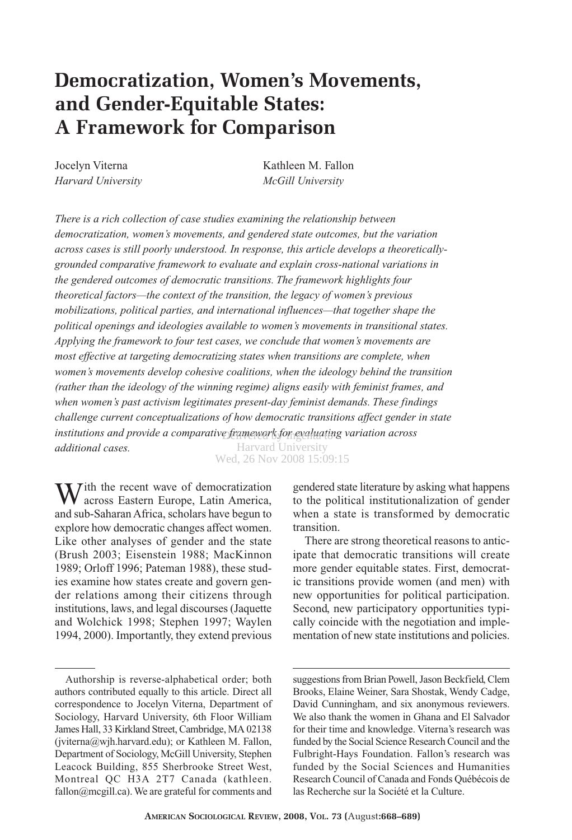# **Democratization, Women's Movements, and Gender-Equitable States: A Framework for Comparison**

*Harvard University McGill University*

Jocelyn Viterna Kathleen M. Fallon

*There is a rich collection of case studies examining the relationship between democratization, women's movements, and gendered state outcomes, but the variation across cases is still poorly understood. In response, this article develops a theoreticallygrounded comparative framework to evaluate and explain cross-national variations in the gendered outcomes of democratic transitions. The framework highlights four theoretical factors—the context of the transition, the legacy of women's previous mobilizations, political parties, and international influences—that together shape the political openings and ideologies available to women's movements in transitional states. Applying the framework to four test cases, we conclude that women's movements are most effective at targeting democratizing states when transitions are complete, when women's movements develop cohesive coalitions, when the ideology behind the transition (rather than the ideology of the winning regime) aligns easily with feminist frames, and when women's past activism legitimates present-day feminist demands. These findings challenge current conceptualizations of how democratic transitions affect gender in state* institutions and provide a comparative framework for evaluating variation across *additional cases.* Harvard University

Wed, 26 Nov 2008 15:09:15

 $\sum$  *T*ith the recent wave of democratization across Eastern Europe, Latin America, and sub-Saharan Africa, scholars have begun to explore how democratic changes affect women. Like other analyses of gender and the state (Brush 2003; Eisenstein 1988; MacKinnon 1989; Orloff 1996; Pateman 1988), these studies examine how states create and govern gender relations among their citizens through institutions, laws, and legal discourses (Jaquette and Wolchick 1998; Stephen 1997; Waylen 1994, 2000). Importantly, they extend previous

gendered state literature by asking what happens to the political institutionalization of gender when a state is transformed by democratic transition.

There are strong theoretical reasons to anticipate that democratic transitions will create more gender equitable states. First, democratic transitions provide women (and men) with new opportunities for political participation. Second, new participatory opportunities typically coincide with the negotiation and implementation of new state institutions and policies.

suggestions from Brian Powell, Jason Beckfield, Clem Brooks, Elaine Weiner, Sara Shostak, Wendy Cadge, David Cunningham, and six anonymous reviewers. We also thank the women in Ghana and El Salvador for their time and knowledge. Viterna's research was funded by the Social Science Research Council and the Fulbright-Hays Foundation. Fallon's research was funded by the Social Sciences and Humanities Research Council of Canada and Fonds Québécois de las Recherche sur la Société et la Culture.

Authorship is reverse-alphabetical order; both authors contributed equally to this article. Direct all correspondence to Jocelyn Viterna, Department of Sociology, Harvard University, 6th Floor William James Hall, 33 Kirkland Street, Cambridge, MA 02138 (jviterna@wjh.harvard.edu); or Kathleen M. Fallon, Department of Sociology, McGill University, Stephen Leacock Building, 855 Sherbrooke Street West, Montreal QC H3A 2T7 Canada (kathleen. fallon@mcgill.ca). We are grateful for comments and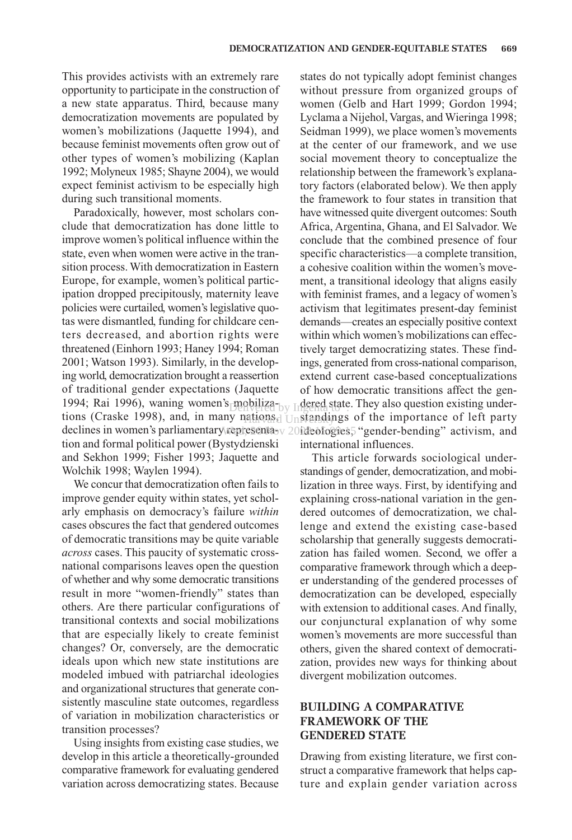This provides activists with an extremely rare opportunity to participate in the construction of a new state apparatus. Third, because many democratization movements are populated by women's mobilizations (Jaquette 1994), and because feminist movements often grow out of other types of women's mobilizing (Kaplan 1992; Molyneux 1985; Shayne 2004), we would expect feminist activism to be especially high during such transitional moments.

Paradoxically, however, most scholars conclude that democratization has done little to improve women's political influence within the state, even when women were active in the transition process. With democratization in Eastern Europe, for example, women's political participation dropped precipitously, maternity leave policies were curtailed, women's legislative quotas were dismantled, funding for childcare centers decreased, and abortion rights were threatened (Einhorn 1993; Haney 1994; Roman 2001; Watson 1993). Similarly, in the developing world, democratization brought a reassertion of traditional gender expectations (Jaquette 1994; Rai 1996), waning women's mobilizations (Craske 1998), and, in many nations,  $\overline{t}$  unstandings of the importance of left party declines in women's parliamentary representa-v 20 ideologies, "gender-bending" activism, and tion and formal political power (Bystydzienski and Sekhon 1999; Fisher 1993; Jaquette and Wolchik 1998; Waylen 1994). Denouled by Ingental state ratrons $_{\rm d}$   $_{\rm Unstandry}$ 

We concur that democratization often fails to improve gender equity within states, yet scholarly emphasis on democracy's failure *within* cases obscures the fact that gendered outcomes of democratic transitions may be quite variable *across* cases. This paucity of systematic crossnational comparisons leaves open the question of whether and why some democratic transitions result in more "women-friendly" states than others. Are there particular configurations of transitional contexts and social mobilizations that are especially likely to create feminist changes? Or, conversely, are the democratic ideals upon which new state institutions are modeled imbued with patriarchal ideologies and organizational structures that generate consistently masculine state outcomes, regardless of variation in mobilization characteristics or transition processes?

Using insights from existing case studies, we develop in this article a theoretically-grounded comparative framework for evaluating gendered variation across democratizing states. Because

states do not typically adopt feminist changes without pressure from organized groups of women (Gelb and Hart 1999; Gordon 1994; Lyclama a Nijehol, Vargas, and Wieringa 1998; Seidman 1999), we place women's movements at the center of our framework, and we use social movement theory to conceptualize the relationship between the framework's explanatory factors (elaborated below). We then apply the framework to four states in transition that have witnessed quite divergent outcomes: South Africa, Argentina, Ghana, and El Salvador. We conclude that the combined presence of four specific characteristics—a complete transition, a cohesive coalition within the women's movement, a transitional ideology that aligns easily with feminist frames, and a legacy of women's activism that legitimates present-day feminist demands—creates an especially positive context within which women's mobilizations can effectively target democratizing states. These findings, generated from cross-national comparison, extend current case-based conceptualizations of how democratic transitions affect the gendered state. They also question existing underinternational influences.

This article forwards sociological understandings of gender, democratization, and mobilization in three ways. First, by identifying and explaining cross-national variation in the gendered outcomes of democratization, we challenge and extend the existing case-based scholarship that generally suggests democratization has failed women. Second, we offer a comparative framework through which a deeper understanding of the gendered processes of democratization can be developed, especially with extension to additional cases. And finally, our conjunctural explanation of why some women's movements are more successful than others, given the shared context of democratization, provides new ways for thinking about divergent mobilization outcomes.

# **BUILDING A COMPARATIVE FRAMEWORK OF THE GENDERED STATE**

Drawing from existing literature, we first construct a comparative framework that helps capture and explain gender variation across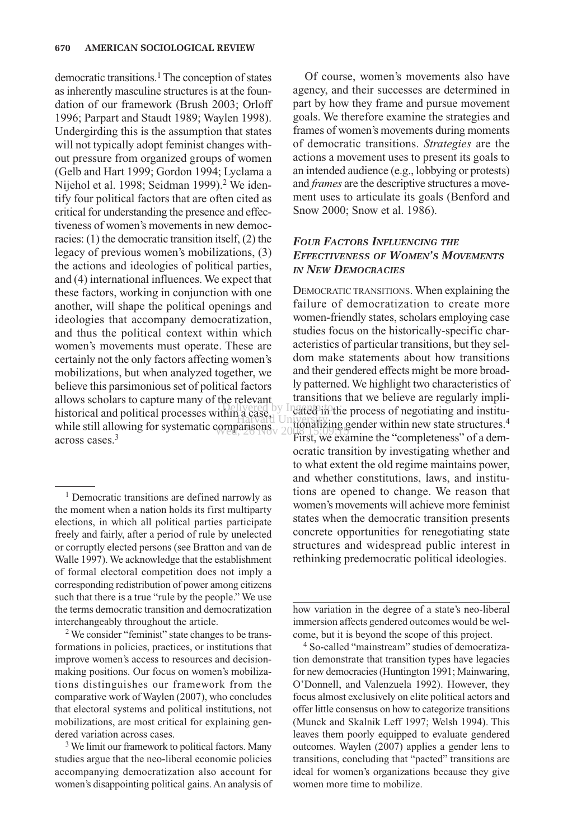democratic transitions.<sup>1</sup> The conception of states as inherently masculine structures is at the foundation of our framework (Brush 2003; Orloff 1996; Parpart and Staudt 1989; Waylen 1998). Undergirding this is the assumption that states will not typically adopt feminist changes without pressure from organized groups of women (Gelb and Hart 1999; Gordon 1994; Lyclama a Nijehol et al. 1998; Seidman 1999).<sup>2</sup> We identify four political factors that are often cited as critical for understanding the presence and effectiveness of women's movements in new democracies: (1) the democratic transition itself, (2) the legacy of previous women's mobilizations, (3) the actions and ideologies of political parties, and (4) international influences. We expect that these factors, working in conjunction with one another, will shape the political openings and ideologies that accompany democratization, and thus the political context within which women's movements must operate. These are certainly not the only factors affecting women's mobilizations, but when analyzed together, we believe this parsimonious set of political factors allows scholars to capture many of the relevant historical and political processes within a case, while still allowing for systematic comparisons  $\frac{1}{2}$  allowing  $\frac{1}{2}$ across cases<sup>3</sup>

<sup>1</sup> Democratic transitions are defined narrowly as the moment when a nation holds its first multiparty elections, in which all political parties participate freely and fairly, after a period of rule by unelected or corruptly elected persons (see Bratton and van de Walle 1997). We acknowledge that the establishment of formal electoral competition does not imply a corresponding redistribution of power among citizens such that there is a true "rule by the people." We use the terms democratic transition and democratization interchangeably throughout the article.

<sup>2</sup> We consider "feminist" state changes to be transformations in policies, practices, or institutions that improve women's access to resources and decisionmaking positions. Our focus on women's mobilizations distinguishes our framework from the comparative work of Waylen (2007), who concludes that electoral systems and political institutions, not mobilizations, are most critical for explaining gendered variation across cases.

<sup>3</sup> We limit our framework to political factors. Many studies argue that the neo-liberal economic policies accompanying democratization also account for women's disappointing political gains. An analysis of

Of course, women's movements also have agency, and their successes are determined in part by how they frame and pursue movement goals. We therefore examine the strategies and frames of women's movements during moments of democratic transitions. *Strategies* are the actions a movement uses to present its goals to an intended audience (e.g., lobbying or protests) and *frames* are the descriptive structures a movement uses to articulate its goals (Benford and Snow 2000; Snow et al. 1986).

# *FOUR FACTORS INFLUENCING THE EFFECTIVENESS OF WOMEN'S MOVEMENTS IN NEW DEMOCRACIES*

DEMOCRATIC TRANSITIONS. When explaining the failure of democratization to create more women-friendly states, scholars employing case studies focus on the historically-specific characteristics of particular transitions, but they seldom make statements about how transitions and their gendered effects might be more broadly patterned. We highlight two characteristics of transitions that we believe are regularly impli- $\frac{1}{2}$  between by Ingenta in the process of negotiating and institu-Harvard University and Holland University of Harvard University and Holland University of Harvard University of First, we examine the "completeness" of a democratic transition by investigating whether and to what extent the old regime maintains power, and whether constitutions, laws, and institutions are opened to change. We reason that women's movements will achieve more feminist states when the democratic transition presents concrete opportunities for renegotiating state structures and widespread public interest in rethinking predemocratic political ideologies.

> how variation in the degree of a state's neo-liberal immersion affects gendered outcomes would be welcome, but it is beyond the scope of this project.

> <sup>4</sup> So-called "mainstream" studies of democratization demonstrate that transition types have legacies for new democracies (Huntington 1991; Mainwaring, O'Donnell, and Valenzuela 1992). However, they focus almost exclusively on elite political actors and offer little consensus on how to categorize transitions (Munck and Skalnik Leff 1997; Welsh 1994). This leaves them poorly equipped to evaluate gendered outcomes. Waylen (2007) applies a gender lens to transitions, concluding that "pacted" transitions are ideal for women's organizations because they give women more time to mobilize.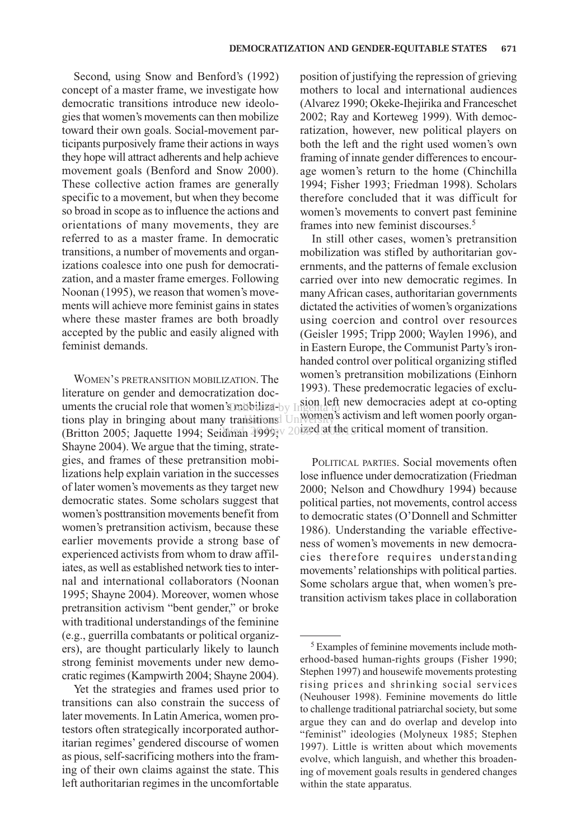Second, using Snow and Benford's (1992) concept of a master frame, we investigate how democratic transitions introduce new ideologies that women's movements can then mobilize toward their own goals. Social-movement participants purposively frame their actions in ways they hope will attract adherents and help achieve movement goals (Benford and Snow 2000). These collective action frames are generally specific to a movement, but when they become so broad in scope as to influence the actions and orientations of many movements, they are referred to as a master frame. In democratic transitions, a number of movements and organizations coalesce into one push for democratization, and a master frame emerges. Following Noonan (1995), we reason that women's movements will achieve more feminist gains in states where these master frames are both broadly accepted by the public and easily aligned with feminist demands.

WOMEN'S PRETRANSITION MOBILIZATION. The literature on gender and democratization documents the crucial role that women's mobiliza-by Ingenta to  $\frac{1}{2}$ tions play in bringing about many transitions! Un (Britton 2005; Jaquette 1994; Seidman 1999; 2003ed at the critical moment of transition. Shayne 2004). We argue that the timing, strategies, and frames of these pretransition mobilizations help explain variation in the successes of later women's movements as they target new democratic states. Some scholars suggest that women's posttransition movements benefit from women's pretransition activism, because these earlier movements provide a strong base of experienced activists from whom to draw affiliates, as well as established network ties to internal and international collaborators (Noonan 1995; Shayne 2004). Moreover, women whose pretransition activism "bent gender," or broke with traditional understandings of the feminine (e.g., guerrilla combatants or political organizers), are thought particularly likely to launch strong feminist movements under new democratic regimes (Kampwirth 2004; Shayne 2004). hsitions! University dhirah  $400$ 99: $v$  2007ed atother  $\epsilon$ 

Yet the strategies and frames used prior to transitions can also constrain the success of later movements. In Latin America, women protestors often strategically incorporated authoritarian regimes' gendered discourse of women as pious, self-sacrificing mothers into the framing of their own claims against the state. This left authoritarian regimes in the uncomfortable

position of justifying the repression of grieving mothers to local and international audiences (Alvarez 1990; Okeke-Ihejirika and Franceschet 2002; Ray and Korteweg 1999). With democratization, however, new political players on both the left and the right used women's own framing of innate gender differences to encourage women's return to the home (Chinchilla 1994; Fisher 1993; Friedman 1998). Scholars therefore concluded that it was difficult for women's movements to convert past feminine frames into new feminist discourses.5

In still other cases, women's pretransition mobilization was stifled by authoritarian governments, and the patterns of female exclusion carried over into new democratic regimes. In many African cases, authoritarian governments dictated the activities of women's organizations using coercion and control over resources (Geisler 1995; Tripp 2000; Waylen 1996), and in Eastern Europe, the Communist Party's ironhanded control over political organizing stifled women's pretransition mobilizations (Einhorn 1993). These predemocratic legacies of exclusion left new democracies adept at co-opting women's activism and left women poorly organ-

POLITICAL PARTIES. Social movements often lose influence under democratization (Friedman 2000; Nelson and Chowdhury 1994) because political parties, not movements, control access to democratic states (O'Donnell and Schmitter 1986). Understanding the variable effectiveness of women's movements in new democracies therefore requires understanding movements'relationships with political parties. Some scholars argue that, when women's pretransition activism takes place in collaboration

<sup>5</sup> Examples of feminine movements include motherhood-based human-rights groups (Fisher 1990; Stephen 1997) and housewife movements protesting rising prices and shrinking social services (Neuhouser 1998). Feminine movements do little to challenge traditional patriarchal society, but some argue they can and do overlap and develop into "feminist" ideologies (Molyneux 1985; Stephen 1997). Little is written about which movements evolve, which languish, and whether this broadening of movement goals results in gendered changes within the state apparatus.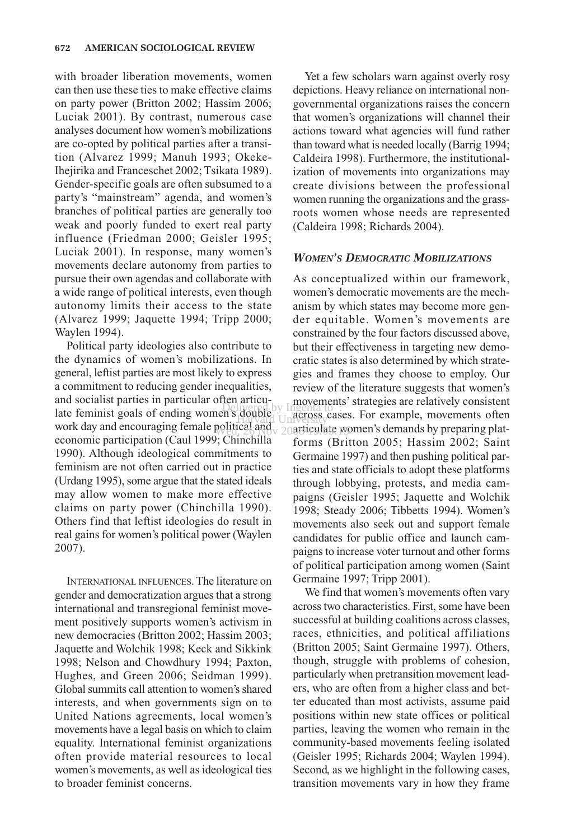with broader liberation movements, women can then use these ties to make effective claims on party power (Britton 2002; Hassim 2006; Luciak 2001). By contrast, numerous case analyses document how women's mobilizations are co-opted by political parties after a transition (Alvarez 1999; Manuh 1993; Okeke-Ihejirika and Franceschet 2002; Tsikata 1989). Gender-specific goals are often subsumed to a party's "mainstream" agenda, and women's branches of political parties are generally too weak and poorly funded to exert real party influence (Friedman 2000; Geisler 1995; Luciak 2001). In response, many women's movements declare autonomy from parties to pursue their own agendas and collaborate with a wide range of political interests, even though autonomy limits their access to the state (Alvarez 1999; Jaquette 1994; Tripp 2000; Waylen 1994).

Political party ideologies also contribute to the dynamics of women's mobilizations. In general, leftist parties are most likely to express a commitment to reducing gender inequalities, and socialist parties in particular often articulate feminist goals of ending women's double by Ingenta to: work day and encouraging female political and economic participation (Caul 1999; Chinchilla 1990). Although ideological commitments to feminism are not often carried out in practice (Urdang 1995), some argue that the stated ideals may allow women to make more effective claims on party power (Chinchilla 1990). Others find that leftist ideologies do result in real gains for women's political power (Waylen 2007).

INTERNATIONAL INFLUENCES. The literature on gender and democratization argues that a strong international and transregional feminist movement positively supports women's activism in new democracies (Britton 2002; Hassim 2003; Jaquette and Wolchik 1998; Keck and Sikkink 1998; Nelson and Chowdhury 1994; Paxton, Hughes, and Green 2006; Seidman 1999). Global summits call attention to women's shared interests, and when governments sign on to United Nations agreements, local women's movements have a legal basis on which to claim equality. International feminist organizations often provide material resources to local women's movements, as well as ideological ties to broader feminist concerns.

Yet a few scholars warn against overly rosy depictions. Heavy reliance on international nongovernmental organizations raises the concern that women's organizations will channel their actions toward what agencies will fund rather than toward what is needed locally (Barrig 1994; Caldeira 1998). Furthermore, the institutionalization of movements into organizations may create divisions between the professional women running the organizations and the grassroots women whose needs are represented (Caldeira 1998; Richards 2004).

## *WOMEN'S DEMOCRATIC MOBILIZATIONS*

As conceptualized within our framework, women's democratic movements are the mechanism by which states may become more gender equitable. Women's movements are constrained by the four factors discussed above, but their effectiveness in targeting new democratic states is also determined by which strategies and frames they choose to employ. Our review of the literature suggests that women's movements'strategies are relatively consistent double Unacross cases. For example, movements often political and  $\sqrt{2}$  20 articulate women's demands by preparing platforms (Britton 2005; Hassim 2002; Saint Germaine 1997) and then pushing political parties and state officials to adopt these platforms through lobbying, protests, and media campaigns (Geisler 1995; Jaquette and Wolchik 1998; Steady 2006; Tibbetts 1994). Women's movements also seek out and support female candidates for public office and launch campaigns to increase voter turnout and other forms of political participation among women (Saint Germaine 1997; Tripp 2001).

> We find that women's movements often vary across two characteristics. First, some have been successful at building coalitions across classes, races, ethnicities, and political affiliations (Britton 2005; Saint Germaine 1997). Others, though, struggle with problems of cohesion, particularly when pretransition movement leaders, who are often from a higher class and better educated than most activists, assume paid positions within new state offices or political parties, leaving the women who remain in the community-based movements feeling isolated (Geisler 1995; Richards 2004; Waylen 1994). Second, as we highlight in the following cases, transition movements vary in how they frame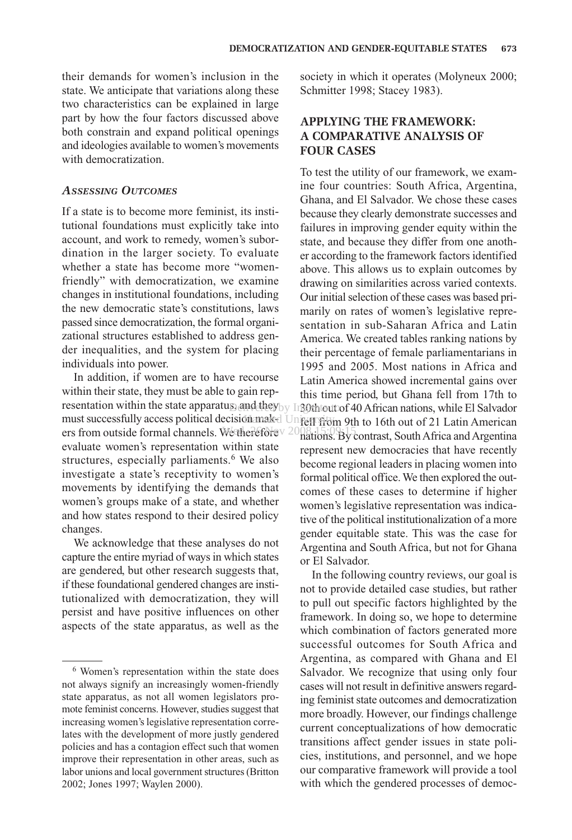their demands for women's inclusion in the state. We anticipate that variations along these two characteristics can be explained in large part by how the four factors discussed above both constrain and expand political openings and ideologies available to women's movements with democratization.

## *ASSESSING OUTCOMES*

If a state is to become more feminist, its institutional foundations must explicitly take into account, and work to remedy, women's subordination in the larger society. To evaluate whether a state has become more "womenfriendly" with democratization, we examine changes in institutional foundations, including the new democratic state's constitutions, laws passed since democratization, the formal organizational structures established to address gender inequalities, and the system for placing individuals into power.

In addition, if women are to have recourse within their state, they must be able to gain representation within the state apparatus, and they by Ingoth out of 40 African nations, while El Salvador must successfully access political decision maked University on 9th to 16th out of 21 Latin American ers from outside formal channels. We therefore  $\frac{2008.15.09.15}{9.008}$ evaluate women's representation within state structures, especially parliaments.<sup>6</sup> We also investigate a state's receptivity to women's movements by identifying the demands that women's groups make of a state, and whether and how states respond to their desired policy changes.

We acknowledge that these analyses do not capture the entire myriad of ways in which states are gendered, but other research suggests that, if these foundational gendered changes are institutionalized with democratization, they will persist and have positive influences on other aspects of the state apparatus, as well as the

society in which it operates (Molyneux 2000; Schmitter 1998; Stacey 1983).

# **APPLYING THE FRAMEWORK: A COMPARATIVE ANALYSIS OF FOUR CASES**

To test the utility of our framework, we examine four countries: South Africa, Argentina, Ghana, and El Salvador. We chose these cases because they clearly demonstrate successes and failures in improving gender equity within the state, and because they differ from one another according to the framework factors identified above. This allows us to explain outcomes by drawing on similarities across varied contexts. Our initial selection of these cases was based primarily on rates of women's legislative representation in sub-Saharan Africa and Latin America. We created tables ranking nations by their percentage of female parliamentarians in 1995 and 2005. Most nations in Africa and Latin America showed incremental gains over this time period, but Ghana fell from 17th to nations. By contrast, South Africa and Argentina represent new democracies that have recently become regional leaders in placing women into formal political office. We then explored the outcomes of these cases to determine if higher women's legislative representation was indicative of the political institutionalization of a more gender equitable state. This was the case for Argentina and South Africa, but not for Ghana or El Salvador.

In the following country reviews, our goal is not to provide detailed case studies, but rather to pull out specific factors highlighted by the framework. In doing so, we hope to determine which combination of factors generated more successful outcomes for South Africa and Argentina, as compared with Ghana and El Salvador. We recognize that using only four cases will not result in definitive answers regarding feminist state outcomes and democratization more broadly. However, our findings challenge current conceptualizations of how democratic transitions affect gender issues in state policies, institutions, and personnel, and we hope our comparative framework will provide a tool with which the gendered processes of democ-

<sup>6</sup> Women's representation within the state does not always signify an increasingly women-friendly state apparatus, as not all women legislators promote feminist concerns. However, studies suggest that increasing women's legislative representation correlates with the development of more justly gendered policies and has a contagion effect such that women improve their representation in other areas, such as labor unions and local government structures (Britton 2002; Jones 1997; Waylen 2000).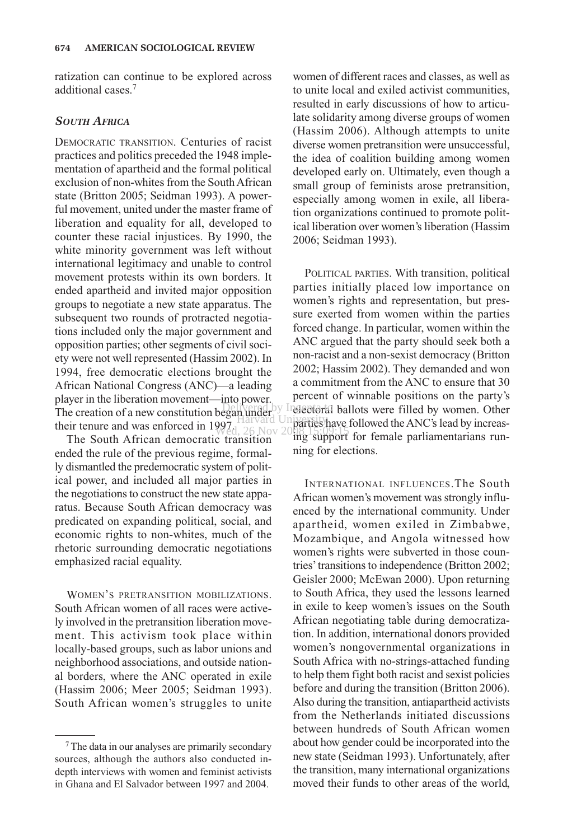ratization can continue to be explored across additional cases.7

## *SOUTH AFRICA*

DEMOCRATIC TRANSITION. Centuries of racist practices and politics preceded the 1948 implementation of apartheid and the formal political exclusion of non-whites from the South African state (Britton 2005; Seidman 1993). A powerful movement, united under the master frame of liberation and equality for all, developed to counter these racial injustices. By 1990, the white minority government was left without international legitimacy and unable to control movement protests within its own borders. It ended apartheid and invited major opposition groups to negotiate a new state apparatus. The subsequent two rounds of protracted negotiations included only the major government and opposition parties; other segments of civil society were not well represented (Hassim 2002). In 1994, free democratic elections brought the African National Congress (ANC)—a leading player in the liberation movement—into power. The creation of a new constitution began under their tenure and was enforced in  $1997<sub>1</sub>$ 

The South African democratic transition ended the rule of the previous regime, formally dismantled the predemocratic system of political power, and included all major parties in the negotiations to construct the new state apparatus. Because South African democracy was predicated on expanding political, social, and economic rights to non-whites, much of the rhetoric surrounding democratic negotiations emphasized racial equality.

WOMEN'S PRETRANSITION MOBILIZATIONS. South African women of all races were actively involved in the pretransition liberation movement. This activism took place within locally-based groups, such as labor unions and neighborhood associations, and outside national borders, where the ANC operated in exile (Hassim 2006; Meer 2005; Seidman 1993). South African women's struggles to unite

women of different races and classes, as well as to unite local and exiled activist communities, resulted in early discussions of how to articulate solidarity among diverse groups of women (Hassim 2006). Although attempts to unite diverse women pretransition were unsuccessful, the idea of coalition building among women developed early on. Ultimately, even though a small group of feminists arose pretransition, especially among women in exile, all liberation organizations continued to promote political liberation over women's liberation (Hassim 2006; Seidman 1993).

POLITICAL PARTIES. With transition, political parties initially placed low importance on women's rights and representation, but pressure exerted from women within the parties forced change. In particular, women within the ANC argued that the party should seek both a non-racist and a non-sexist democracy (Britton 2002; Hassim 2002). They demanded and won a commitment from the ANC to ensure that 30 percent of winnable positions on the party's Delivered by Indectoral ballots were filled by women. Other Harvard University<br>
And University have followed the ANC's lead by increas-Wed, 26 Nov 2008 15:09:15:00<br>c transition ing support for female parliamentarians running for elections.

> INTERNATIONAL INFLUENCES.The South African women's movement was strongly influenced by the international community. Under apartheid, women exiled in Zimbabwe, Mozambique, and Angola witnessed how women's rights were subverted in those countries'transitions to independence (Britton 2002; Geisler 2000; McEwan 2000). Upon returning to South Africa, they used the lessons learned in exile to keep women's issues on the South African negotiating table during democratization. In addition, international donors provided women's nongovernmental organizations in South Africa with no-strings-attached funding to help them fight both racist and sexist policies before and during the transition (Britton 2006). Also during the transition, antiapartheid activists from the Netherlands initiated discussions between hundreds of South African women about how gender could be incorporated into the new state (Seidman 1993). Unfortunately, after the transition, many international organizations moved their funds to other areas of the world,

<sup>7</sup>The data in our analyses are primarily secondary sources, although the authors also conducted indepth interviews with women and feminist activists in Ghana and El Salvador between 1997 and 2004.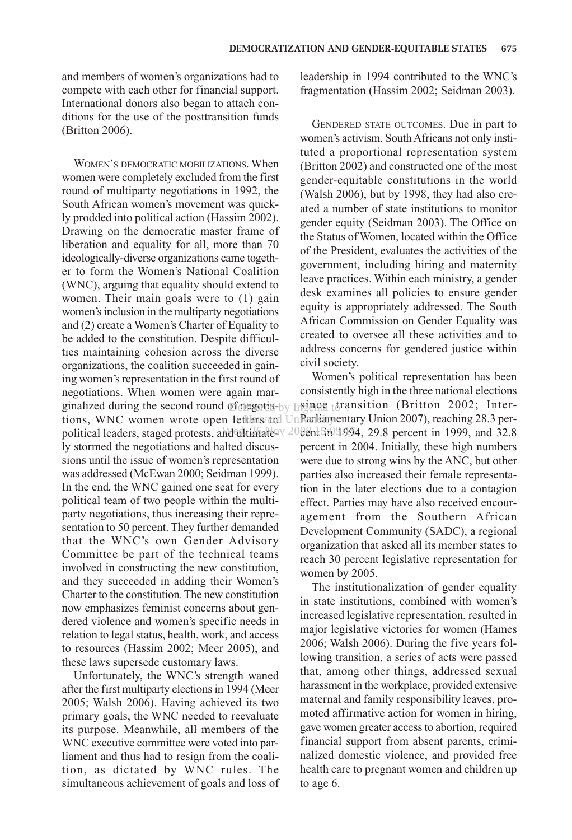and members of women's organizations had to compete with each other for financial support. International donors also began to attach conditions for the use of the posttransition funds (Britton 2006).

WOMEN'S DEMOCRATIC MOBILIZATIONS. When women were completely excluded from the first round of multiparty negotiations in 1992, the South African women's movement was quickly prodded into political action (Hassim 2002). Drawing on the democratic master frame of liberation and equality for all, more than 70 ideologically-diverse organizations came together to form the Women's National Coalition (WNC), arguing that equality should extend to women. Their main goals were to (1) gain women's inclusion in the multiparty negotiations and (2) create a Women's Charter of Equality to be added to the constitution. Despite difficulties maintaining cohesion across the diverse organizations, the coalition succeeded in gaining women's representation in the first round of negotiations. When women were again marginalized during the second round of negotia-by  $\text{Lageng}$  transition (Britton 2002; Intertions, WNC women wrote open letters and UnParliamentary Union 2007), reaching 28.3 perpolitical leaders, staged protests, and ultimate v 2008nt 5in 9.99. ly stormed the negotiations and halted discussions until the issue of women's representation was addressed (McEwan 2000; Seidman 1999). In the end, the WNC gained one seat for every political team of two people within the multiparty negotiations, thus increasing their representation to 50 percent. They further demanded that the WNC's own Gender Advisory Committee be part of the technical teams involved in constructing the new constitution, and they succeeded in adding their Women's Charter to the constitution. The new constitution now emphasizes feminist concerns about gendered violence and women's specific needs in relation to legal status, health, work, and access to resources (Hassim 2002; Meer 2005), and these laws supersede customary laws.

Unfortunately, the WNC's strength waned after the first multiparty elections in 1994 (Meer 2005; Walsh 2006). Having achieved its two primary goals, the WNC needed to reevaluate its purpose. Meanwhile, all members of the WNC executive committee were voted into parliament and thus had to resign from the coalition, as dictated by WNC rules. The simultaneous achievement of goals and loss of leadership in 1994 contributed to the WNC's fragmentation (Hassim 2002; Seidman 2003).

GENDERED STATE OUTCOMES. Due in part to women's activism, South Africans not only instituted a proportional representation system (Britton 2002) and constructed one of the most gender-equitable constitutions in the world (Walsh 2006), but by 1998, they had also created a number of state institutions to monitor gender equity (Seidman 2003). The Office on the Status of Women, located within the Office of the President, evaluates the activities of the government, including hiring and maternity leave practices. Within each ministry, a gender desk examines all policies to ensure gender equity is appropriately addressed. The South African Commission on Gender Equality was created to oversee all these activities and to address concerns for gendered justice within civil society.

Women's political representation has been consistently high in the three national elections  $0$ eent in 1999, and 32.8 percent in 2004. Initially, these high numbers were due to strong wins by the ANC, but other parties also increased their female representation in the later elections due to a contagion effect. Parties may have also received encouragement from the Southern African Development Community (SADC), a regional organization that asked all its member states to reach 30 percent legislative representation for women by 2005.

The institutionalization of gender equality in state institutions, combined with women's increased legislative representation, resulted in major legislative victories for women (Hames 2006; Walsh 2006). During the five years following transition, a series of acts were passed that, among other things, addressed sexual harassment in the workplace, provided extensive maternal and family responsibility leaves, promoted affirmative action for women in hiring, gave women greater access to abortion, required financial support from absent parents, criminalized domestic violence, and provided free health care to pregnant women and children up to age 6.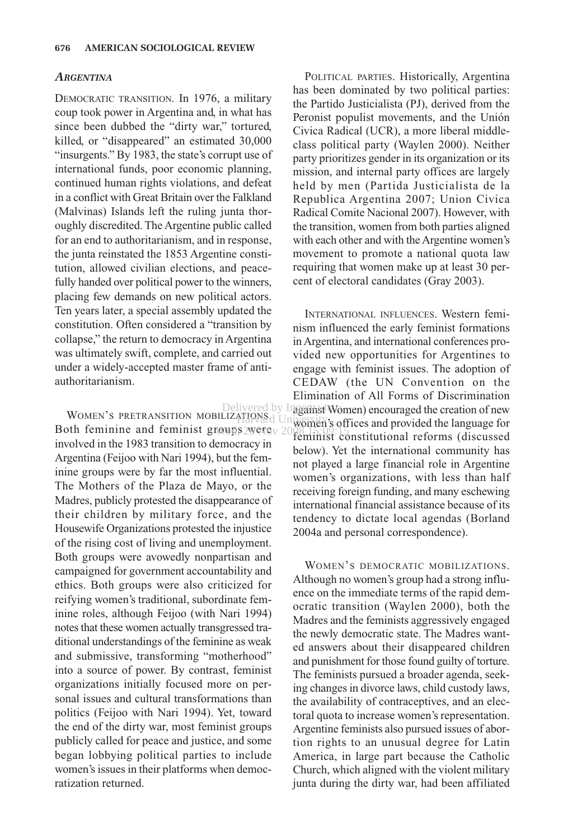#### *ARGENTINA*

DEMOCRATIC TRANSITION. In 1976, a military coup took power in Argentina and, in what has since been dubbed the "dirty war," tortured, killed, or "disappeared" an estimated 30,000 "insurgents." By 1983, the state's corrupt use of international funds, poor economic planning, continued human rights violations, and defeat in a conflict with Great Britain over the Falkland (Malvinas) Islands left the ruling junta thoroughly discredited. The Argentine public called for an end to authoritarianism, and in response, the junta reinstated the 1853 Argentine constitution, allowed civilian elections, and peacefully handed over political power to the winners, placing few demands on new political actors. Ten years later, a special assembly updated the constitution. Often considered a "transition by collapse," the return to democracy in Argentina was ultimately swift, complete, and carried out under a widely-accepted master frame of antiauthoritarianism.

Both feminine and feminist groups were Wed, 26 Nov 2008 15:09:15involved in the 1983 transition to democracy in Argentina (Feijoo with Nari 1994), but the feminine groups were by far the most influential. The Mothers of the Plaza de Mayo, or the Madres, publicly protested the disappearance of their children by military force, and the Housewife Organizations protested the injustice of the rising cost of living and unemployment. Both groups were avowedly nonpartisan and campaigned for government accountability and ethics. Both groups were also criticized for reifying women's traditional, subordinate feminine roles, although Feijoo (with Nari 1994) notes that these women actually transgressed traditional understandings of the feminine as weak and submissive, transforming "motherhood" into a source of power. By contrast, feminist organizations initially focused more on personal issues and cultural transformations than politics (Feijoo with Nari 1994). Yet, toward the end of the dirty war, most feminist groups publicly called for peace and justice, and some began lobbying political parties to include women's issues in their platforms when democratization returned. Harvard University

POLITICAL PARTIES. Historically, Argentina has been dominated by two political parties: the Partido Justicialista (PJ), derived from the Peronist populist movements, and the Unión Civica Radical (UCR), a more liberal middleclass political party (Waylen 2000). Neither party prioritizes gender in its organization or its mission, and internal party offices are largely held by men (Partida Justicialista de la Republica Argentina 2007; Union Civica Radical Comite Nacional 2007). However, with the transition, women from both parties aligned with each other and with the Argentine women's movement to promote a national quota law requiring that women make up at least 30 percent of electoral candidates (Gray 2003).

Delivered by InggametWomen) encouraged the creation of new<br>WOMEN'S PRETRANSITION MOBILIZATIONS: [Iniversity, e.g. etiam and annual dealing a sea General INTERNATIONAL INFLUENCES. Western feminism influenced the early feminist formations in Argentina, and international conferences provided new opportunities for Argentines to engage with feminist issues. The adoption of CEDAW (the UN Convention on the Elimination of All Forms of Discrimination women's offices and provided the language for feminist constitutional reforms (discussed below). Yet the international community has not played a large financial role in Argentine women's organizations, with less than half receiving foreign funding, and many eschewing international financial assistance because of its tendency to dictate local agendas (Borland 2004a and personal correspondence). Delivered by Inggainst Wo

> WOMEN'S DEMOCRATIC MOBILIZATIONS. Although no women's group had a strong influence on the immediate terms of the rapid democratic transition (Waylen 2000), both the Madres and the feminists aggressively engaged the newly democratic state. The Madres wanted answers about their disappeared children and punishment for those found guilty of torture. The feminists pursued a broader agenda, seeking changes in divorce laws, child custody laws, the availability of contraceptives, and an electoral quota to increase women's representation. Argentine feminists also pursued issues of abortion rights to an unusual degree for Latin America, in large part because the Catholic Church, which aligned with the violent military junta during the dirty war, had been affiliated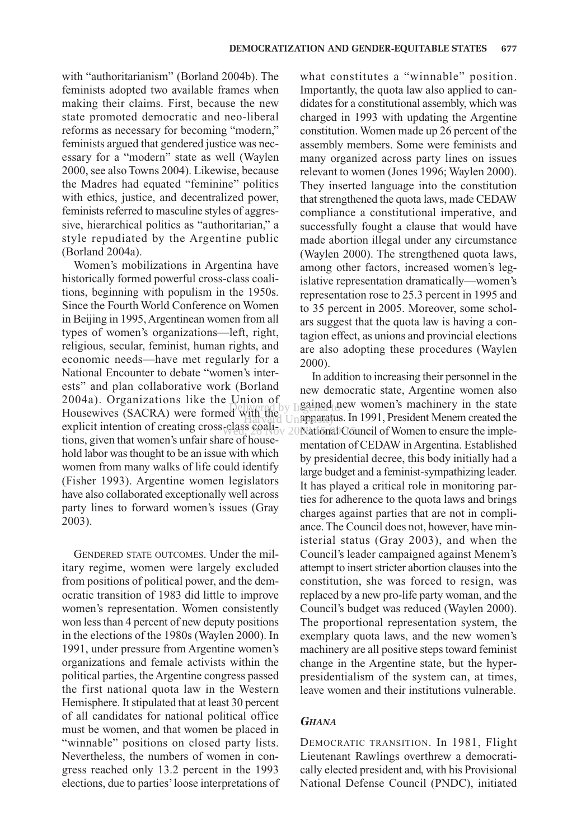with "authoritarianism" (Borland 2004b). The feminists adopted two available frames when making their claims. First, because the new state promoted democratic and neo-liberal reforms as necessary for becoming "modern," feminists argued that gendered justice was necessary for a "modern" state as well (Waylen 2000, see also Towns 2004). Likewise, because the Madres had equated "feminine" politics with ethics, justice, and decentralized power, feminists referred to masculine styles of aggressive, hierarchical politics as "authoritarian," a style repudiated by the Argentine public (Borland 2004a).

Women's mobilizations in Argentina have historically formed powerful cross-class coalitions, beginning with populism in the 1950s. Since the Fourth World Conference on Women in Beijing in 1995, Argentinean women from all types of women's organizations—left, right, religious, secular, feminist, human rights, and economic needs—have met regularly for a National Encounter to debate "women's interests" and plan collaborative work (Borland 2004a). Organizations like the Union of Housewives (SACRA) were formed with the explicit intention of creating cross-class coalitions, given that women's unfair share of household labor was thought to be an issue with which women from many walks of life could identify (Fisher 1993). Argentine women legislators have also collaborated exceptionally well across party lines to forward women's issues (Gray 2003).

GENDERED STATE OUTCOMES. Under the military regime, women were largely excluded from positions of political power, and the democratic transition of 1983 did little to improve women's representation. Women consistently won less than 4 percent of new deputy positions in the elections of the 1980s (Waylen 2000). In 1991, under pressure from Argentine women's organizations and female activists within the political parties, the Argentine congress passed the first national quota law in the Western Hemisphere. It stipulated that at least 30 percent of all candidates for national political office must be women, and that women be placed in "winnable" positions on closed party lists. Nevertheless, the numbers of women in congress reached only 13.2 percent in the 1993 elections, due to parties'loose interpretations of what constitutes a "winnable" position. Importantly, the quota law also applied to candidates for a constitutional assembly, which was charged in 1993 with updating the Argentine constitution. Women made up 26 percent of the assembly members. Some were feminists and many organized across party lines on issues relevant to women (Jones 1996; Waylen 2000). They inserted language into the constitution that strengthened the quota laws, made CEDAW compliance a constitutional imperative, and successfully fought a clause that would have made abortion illegal under any circumstance (Waylen 2000). The strengthened quota laws, among other factors, increased women's legislative representation dramatically—women's representation rose to 25.3 percent in 1995 and to 35 percent in 2005. Moreover, some scholars suggest that the quota law is having a contagion effect, as unions and provincial elections are also adopting these procedures (Waylen 2000).

In addition to increasing their personnel in the new democratic state, Argentine women also Union of  $\log$  Ingained new women's machinery in the state VIII the Unapparatus. In 1991, President Menem created the Wed, 20<sup>20</sup> Nov 200 National Council of Women to ensure the implementation of CEDAW in Argentina. Established by presidential decree, this body initially had a large budget and a feminist-sympathizing leader. It has played a critical role in monitoring parties for adherence to the quota laws and brings charges against parties that are not in compliance. The Council does not, however, have ministerial status (Gray 2003), and when the Council's leader campaigned against Menem's attempt to insert stricter abortion clauses into the constitution, she was forced to resign, was replaced by a new pro-life party woman, and the Council's budget was reduced (Waylen 2000). The proportional representation system, the exemplary quota laws, and the new women's machinery are all positive steps toward feminist change in the Argentine state, but the hyperpresidentialism of the system can, at times, leave women and their institutions vulnerable.

#### *GHANA*

DEMOCRATIC TRANSITION. In 1981, Flight Lieutenant Rawlings overthrew a democratically elected president and, with his Provisional National Defense Council (PNDC), initiated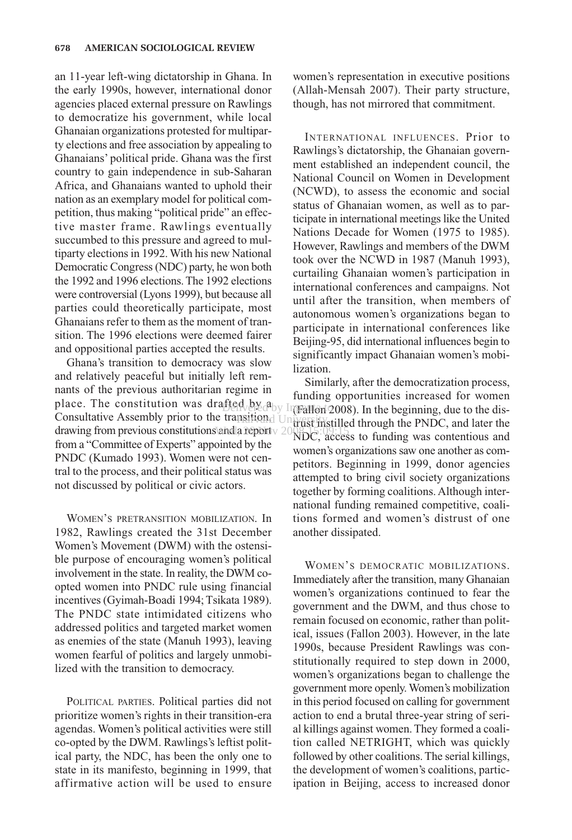an 11-year left-wing dictatorship in Ghana. In the early 1990s, however, international donor agencies placed external pressure on Rawlings to democratize his government, while local Ghanaian organizations protested for multiparty elections and free association by appealing to Ghanaians' political pride. Ghana was the first country to gain independence in sub-Saharan Africa, and Ghanaians wanted to uphold their nation as an exemplary model for political competition, thus making "political pride" an effective master frame. Rawlings eventually succumbed to this pressure and agreed to multiparty elections in 1992. With his new National Democratic Congress (NDC) party, he won both the 1992 and 1996 elections. The 1992 elections were controversial (Lyons 1999), but because all parties could theoretically participate, most Ghanaians refer to them as the moment of transition. The 1996 elections were deemed fairer and oppositional parties accepted the results.

Ghana's transition to democracy was slow and relatively peaceful but initially left remnants of the previous authoritarian regime in mains of the previous authorities and funding opportunities increased for women<br>place. The constitution was drafted by  $\beta_{\text{IV}}$  integrated 0008). In the beginning due to the dis-Consultative Assembly prior to the transition,  $\bigcup_{n=1}^{\infty}$ drawing from previous constitutions and a report  $\vee$  2008 15:09:15 from a "Committee of Experts" appointed by the PNDC (Kumado 1993). Women were not central to the process, and their political status was not discussed by political or civic actors. PSHORd University

WOMEN'S PRETRANSITION MOBILIZATION. In 1982, Rawlings created the 31st December Women's Movement (DWM) with the ostensible purpose of encouraging women's political involvement in the state. In reality, the DWM coopted women into PNDC rule using financial incentives (Gyimah-Boadi 1994; Tsikata 1989). The PNDC state intimidated citizens who addressed politics and targeted market women as enemies of the state (Manuh 1993), leaving women fearful of politics and largely unmobilized with the transition to democracy.

POLITICAL PARTIES. Political parties did not prioritize women's rights in their transition-era agendas. Women's political activities were still co-opted by the DWM. Rawlings's leftist political party, the NDC, has been the only one to state in its manifesto, beginning in 1999, that affirmative action will be used to ensure women's representation in executive positions (Allah-Mensah 2007). Their party structure, though, has not mirrored that commitment.

INTERNATIONAL INFLUENCES. Prior to Rawlings's dictatorship, the Ghanaian government established an independent council, the National Council on Women in Development (NCWD), to assess the economic and social status of Ghanaian women, as well as to participate in international meetings like the United Nations Decade for Women (1975 to 1985). However, Rawlings and members of the DWM took over the NCWD in 1987 (Manuh 1993), curtailing Ghanaian women's participation in international conferences and campaigns. Not until after the transition, when members of autonomous women's organizations began to participate in international conferences like Beijing-95, did international influences begin to significantly impact Ghanaian women's mobilization.

Similarly, after the democratization process,<br>funding opportunities increased for women  $\text{HSeq}_\nu$  by  $\text{H}(\text{Fallon 2008})$ . In the beginning, due to the distrust instilled through the PNDC, and later the NDC, access to funding was contentious and women's organizations saw one another as competitors. Beginning in 1999, donor agencies attempted to bring civil society organizations together by forming coalitions. Although international funding remained competitive, coalitions formed and women's distrust of one another dissipated.

> WOMEN'S DEMOCRATIC MOBILIZATIONS. Immediately after the transition, many Ghanaian women's organizations continued to fear the government and the DWM, and thus chose to remain focused on economic, rather than political, issues (Fallon 2003). However, in the late 1990s, because President Rawlings was constitutionally required to step down in 2000, women's organizations began to challenge the government more openly. Women's mobilization in this period focused on calling for government action to end a brutal three-year string of serial killings against women. They formed a coalition called NETRIGHT, which was quickly followed by other coalitions. The serial killings, the development of women's coalitions, participation in Beijing, access to increased donor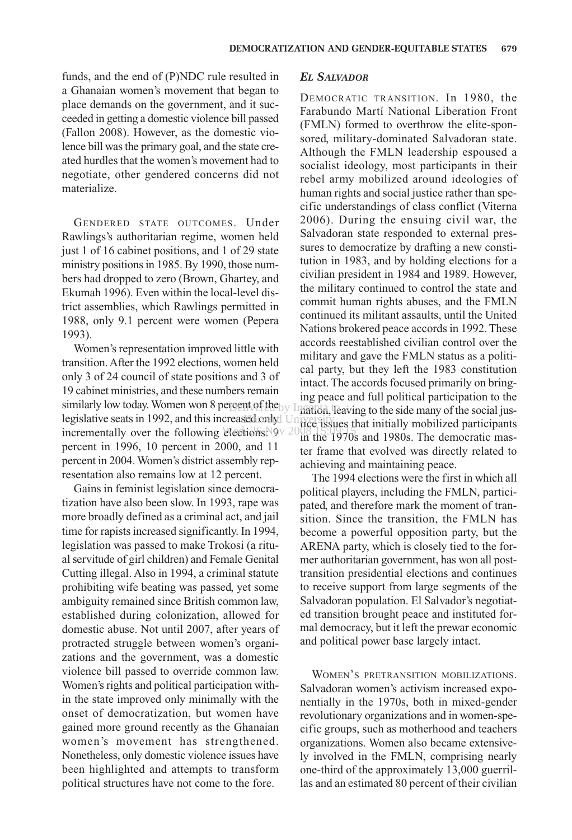funds, and the end of (P)NDC rule resulted in a Ghanaian women's movement that began to place demands on the government, and it succeeded in getting a domestic violence bill passed (Fallon 2008). However, as the domestic violence bill was the primary goal, and the state created hurdles that the women's movement had to negotiate, other gendered concerns did not materialize.

GENDERED STATE OUTCOMES. Under Rawlings's authoritarian regime, women held just 1 of 16 cabinet positions, and 1 of 29 state ministry positions in 1985. By 1990, those numbers had dropped to zero (Brown, Ghartey, and Ekumah 1996). Even within the local-level district assemblies, which Rawlings permitted in 1988, only 9.1 percent were women (Pepera 1993).

Women's representation improved little with transition. After the 1992 elections, women held only 3 of 24 council of state positions and 3 of 19 cabinet ministries, and these numbers remain similarly low today. Women won 8 percent of the by  $\frac{mg}{m}$  the independent of the signal to  $\frac{mg}{m}$ legislative seats in 1992, and this increased only University incrementally over the following elections:  $9 \times 20^{18}$  is  $15^{16}$ percent in 1996, 10 percent in 2000, and 11 percent in 2004. Women's district assembly representation also remains low at 12 percent.

Gains in feminist legislation since democratization have also been slow. In 1993, rape was more broadly defined as a criminal act, and jail time for rapists increased significantly. In 1994, legislation was passed to make Trokosi (a ritual servitude of girl children) and Female Genital Cutting illegal. Also in 1994, a criminal statute prohibiting wife beating was passed, yet some ambiguity remained since British common law, established during colonization, allowed for domestic abuse. Not until 2007, after years of protracted struggle between women's organizations and the government, was a domestic violence bill passed to override common law. Women's rights and political participation within the state improved only minimally with the onset of democratization, but women have gained more ground recently as the Ghanaian women's movement has strengthened. Nonetheless, only domestic violence issues have been highlighted and attempts to transform political structures have not come to the fore.

## *EL SALVADOR*

DEMOCRATIC TRANSITION. In 1980, the Farabundo Martí National Liberation Front (FMLN) formed to overthrow the elite-sponsored, military-dominated Salvadoran state. Although the FMLN leadership espoused a socialist ideology, most participants in their rebel army mobilized around ideologies of human rights and social justice rather than specific understandings of class conflict (Viterna 2006). During the ensuing civil war, the Salvadoran state responded to external pressures to democratize by drafting a new constitution in 1983, and by holding elections for a civilian president in 1984 and 1989. However, the military continued to control the state and commit human rights abuses, and the FMLN continued its militant assaults, until the United Nations brokered peace accords in 1992. These accords reestablished civilian control over the military and gave the FMLN status as a political party, but they left the 1983 constitution intact. The accords focused primarily on bringing peace and full political participation to the nation, leaving to the side many of the social justice issues that initially mobilized participants in the 1970s and 1980s. The democratic master frame that evolved was directly related to achieving and maintaining peace.

The 1994 elections were the first in which all political players, including the FMLN, participated, and therefore mark the moment of transition. Since the transition, the FMLN has become a powerful opposition party, but the ARENA party, which is closely tied to the former authoritarian government, has won all posttransition presidential elections and continues to receive support from large segments of the Salvadoran population. El Salvador's negotiated transition brought peace and instituted formal democracy, but it left the prewar economic and political power base largely intact.

WOMEN'S PRETRANSITION MOBILIZATIONS. Salvadoran women's activism increased exponentially in the 1970s, both in mixed-gender revolutionary organizations and in women-specific groups, such as motherhood and teachers organizations. Women also became extensively involved in the FMLN, comprising nearly one-third of the approximately 13,000 guerrillas and an estimated 80 percent of their civilian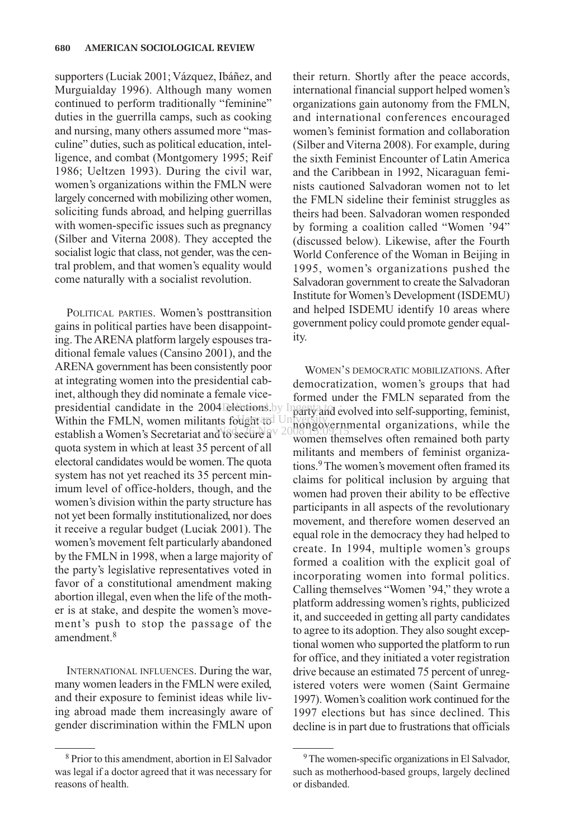supporters (Luciak 2001; Vázquez, Ibáñez, and Murguialday 1996). Although many women continued to perform traditionally "feminine" duties in the guerrilla camps, such as cooking and nursing, many others assumed more "masculine" duties, such as political education, intelligence, and combat (Montgomery 1995; Reif 1986; Ueltzen 1993). During the civil war, women's organizations within the FMLN were largely concerned with mobilizing other women, soliciting funds abroad, and helping guerrillas with women-specific issues such as pregnancy (Silber and Viterna 2008). They accepted the socialist logic that class, not gender, was the central problem, and that women's equality would come naturally with a socialist revolution.

POLITICAL PARTIES. Women's posttransition gains in political parties have been disappointing. The ARENA platform largely espouses traditional female values (Cansino 2001), and the ARENA government has been consistently poor at integrating women into the presidential cabinet, although they did nominate a female vicepresidential candidate in the 2004 elections by Ingentation Within the FMLN, women militants fought and University establish a Women's Secretariat and to secure a Wed, 26 Nov 2008 15:09:15quota system in which at least 35 percent of all electoral candidates would be women. The quota system has not yet reached its 35 percent minimum level of office-holders, though, and the women's division within the party structure has not yet been formally institutionalized, nor does it receive a regular budget (Luciak 2001). The women's movement felt particularly abandoned by the FMLN in 1998, when a large majority of the party's legislative representatives voted in favor of a constitutional amendment making abortion illegal, even when the life of the mother is at stake, and despite the women's movement's push to stop the passage of the amendment $8$ 

INTERNATIONAL INFLUENCES. During the war, many women leaders in the FMLN were exiled, and their exposure to feminist ideas while living abroad made them increasingly aware of gender discrimination within the FMLN upon their return. Shortly after the peace accords, international financial support helped women's organizations gain autonomy from the FMLN, and international conferences encouraged women's feminist formation and collaboration (Silber and Viterna 2008). For example, during the sixth Feminist Encounter of Latin America and the Caribbean in 1992, Nicaraguan feminists cautioned Salvadoran women not to let the FMLN sideline their feminist struggles as theirs had been. Salvadoran women responded by forming a coalition called "Women '94" (discussed below). Likewise, after the Fourth World Conference of the Woman in Beijing in 1995, women's organizations pushed the Salvadoran government to create the Salvadoran Institute for Women's Development (ISDEMU) and helped ISDEMU identify 10 areas where government policy could promote gender equality.

WOMEN'S DEMOCRATIC MOBILIZATIONS. After democratization, women's groups that had formed under the FMLN separated from the party and evolved into self-supporting, feminist, nongovernmental organizations, while the women themselves often remained both party militants and members of feminist organizations.<sup>9</sup> The women's movement often framed its claims for political inclusion by arguing that women had proven their ability to be effective participants in all aspects of the revolutionary movement, and therefore women deserved an equal role in the democracy they had helped to create. In 1994, multiple women's groups formed a coalition with the explicit goal of incorporating women into formal politics. Calling themselves "Women '94," they wrote a platform addressing women's rights, publicized it, and succeeded in getting all party candidates to agree to its adoption. They also sought exceptional women who supported the platform to run for office, and they initiated a voter registration drive because an estimated 75 percent of unregistered voters were women (Saint Germaine 1997). Women's coalition work continued for the 1997 elections but has since declined. This decline is in part due to frustrations that officials

<sup>8</sup> Prior to this amendment, abortion in El Salvador was legal if a doctor agreed that it was necessary for reasons of health.

<sup>&</sup>lt;sup>9</sup>The women-specific organizations in El Salvador, such as motherhood-based groups, largely declined or disbanded.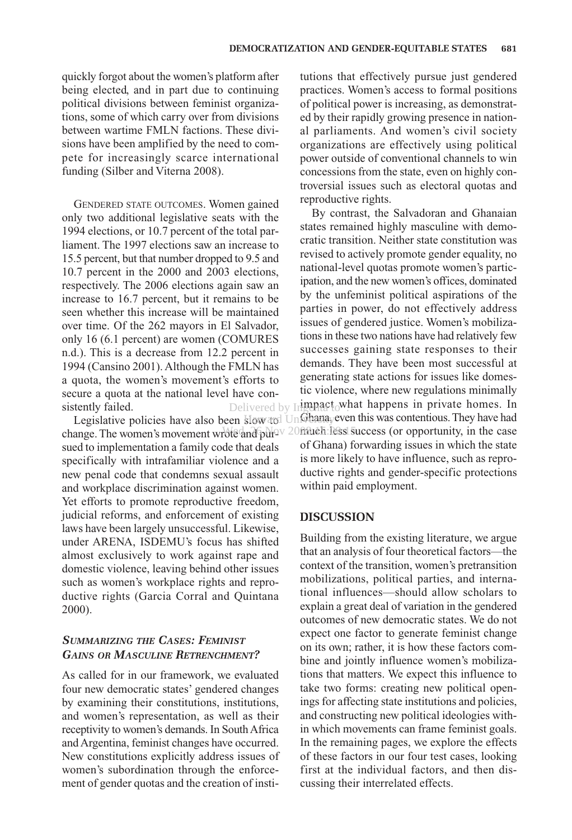quickly forgot about the women's platform after being elected, and in part due to continuing political divisions between feminist organizations, some of which carry over from divisions between wartime FMLN factions. These divisions have been amplified by the need to compete for increasingly scarce international funding (Silber and Viterna 2008).

GENDERED STATE OUTCOMES. Women gained only two additional legislative seats with the 1994 elections, or 10.7 percent of the total parliament. The 1997 elections saw an increase to 15.5 percent, but that number dropped to 9.5 and 10.7 percent in the 2000 and 2003 elections, respectively. The 2006 elections again saw an increase to 16.7 percent, but it remains to be seen whether this increase will be maintained over time. Of the 262 mayors in El Salvador, only 16 (6.1 percent) are women (COMURES n.d.). This is a decrease from 12.2 percent in 1994 (Cansino 2001). Although the FMLN has a quota, the women's movement's efforts to secure a quota at the national level have consistently failed.

change. The women's movement wrote and pulley 20 nature is success (or opportunity, in the case sued to implementation a family code that deals specifically with intrafamiliar violence and a new penal code that condemns sexual assault and workplace discrimination against women. Yet efforts to promote reproductive freedom, judicial reforms, and enforcement of existing laws have been largely unsuccessful. Likewise, under ARENA, ISDEMU's focus has shifted almost exclusively to work against rape and domestic violence, leaving behind other issues such as women's workplace rights and reproductive rights (Garcia Corral and Quintana 2000).

# *SUMMARIZING THE CASES: FEMINIST GAINS OR MASCULINE RETRENCHMENT?*

As called for in our framework, we evaluated four new democratic states' gendered changes by examining their constitutions, institutions, and women's representation, as well as their receptivity to women's demands. In South Africa and Argentina, feminist changes have occurred. New constitutions explicitly address issues of women's subordination through the enforcement of gender quotas and the creation of institutions that effectively pursue just gendered practices. Women's access to formal positions of political power is increasing, as demonstrated by their rapidly growing presence in national parliaments. And women's civil society organizations are effectively using political power outside of conventional channels to win concessions from the state, even on highly controversial issues such as electoral quotas and reproductive rights.

Legislative policies have also been  $\frac{1}{2}$  low and UnGhana, even this was contentious. They have had By contrast, the Salvadoran and Ghanaian states remained highly masculine with democratic transition. Neither state constitution was revised to actively promote gender equality, no national-level quotas promote women's participation, and the new women's offices, dominated by the unfeminist political aspirations of the parties in power, do not effectively address issues of gendered justice. Women's mobilizations in these two nations have had relatively few successes gaining state responses to their demands. They have been most successful at generating state actions for issues like domestic violence, where new regulations minimally Delivered by Ingenact<sub>o</sub>what happens in private homes. In of Ghana) forwarding issues in which the state is more likely to have influence, such as reproductive rights and gender-specific protections within paid employment.

#### **DISCUSSION**

Building from the existing literature, we argue that an analysis of four theoretical factors—the context of the transition, women's pretransition mobilizations, political parties, and international influences—should allow scholars to explain a great deal of variation in the gendered outcomes of new democratic states. We do not expect one factor to generate feminist change on its own; rather, it is how these factors combine and jointly influence women's mobilizations that matters. We expect this influence to take two forms: creating new political openings for affecting state institutions and policies, and constructing new political ideologies within which movements can frame feminist goals. In the remaining pages, we explore the effects of these factors in our four test cases, looking first at the individual factors, and then discussing their interrelated effects.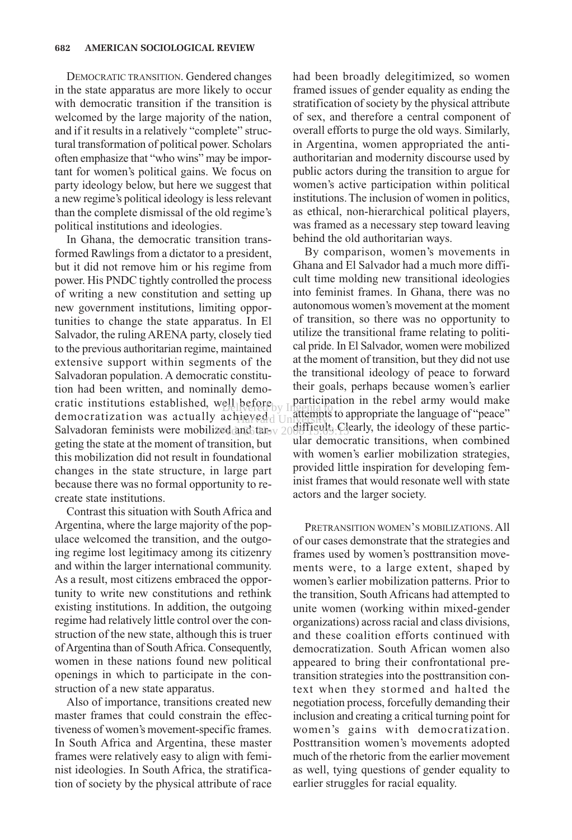DEMOCRATIC TRANSITION. Gendered changes in the state apparatus are more likely to occur with democratic transition if the transition is welcomed by the large majority of the nation, and if it results in a relatively "complete" structural transformation of political power. Scholars often emphasize that "who wins" may be important for women's political gains. We focus on party ideology below, but here we suggest that a new regime's political ideology is less relevant than the complete dismissal of the old regime's political institutions and ideologies.

In Ghana, the democratic transition transformed Rawlings from a dictator to a president, but it did not remove him or his regime from power. His PNDC tightly controlled the process of writing a new constitution and setting up new government institutions, limiting opportunities to change the state apparatus. In El Salvador, the ruling ARENA party, closely tied to the previous authoritarian regime, maintained extensive support within segments of the Salvadoran population. A democratic constitution had been written, and nominally democratic institutions established, well before by Ingentation democratization was actually achieved. democratization was actually achieved University to appropriate the language of peace<br>Salvadoran feminists were mobilized and tail of 2009 flights. Clearly, the ideology of these particgeting the state at the moment of transition, but this mobilization did not result in foundational changes in the state structure, in large part because there was no formal opportunity to recreate state institutions. 20 dandtar<sub>ov 20</sub>09.11999.13

Contrast this situation with South Africa and Argentina, where the large majority of the populace welcomed the transition, and the outgoing regime lost legitimacy among its citizenry and within the larger international community. As a result, most citizens embraced the opportunity to write new constitutions and rethink existing institutions. In addition, the outgoing regime had relatively little control over the construction of the new state, although this is truer of Argentina than of South Africa. Consequently, women in these nations found new political openings in which to participate in the construction of a new state apparatus.

Also of importance, transitions created new master frames that could constrain the effectiveness of women's movement-specific frames. In South Africa and Argentina, these master frames were relatively easy to align with feminist ideologies. In South Africa, the stratification of society by the physical attribute of race had been broadly delegitimized, so women framed issues of gender equality as ending the stratification of society by the physical attribute of sex, and therefore a central component of overall efforts to purge the old ways. Similarly, in Argentina, women appropriated the antiauthoritarian and modernity discourse used by public actors during the transition to argue for women's active participation within political institutions. The inclusion of women in politics, as ethical, non-hierarchical political players, was framed as a necessary step toward leaving behind the old authoritarian ways.

By comparison, women's movements in Ghana and El Salvador had a much more difficult time molding new transitional ideologies into feminist frames. In Ghana, there was no autonomous women's movement at the moment of transition, so there was no opportunity to utilize the transitional frame relating to political pride. In El Salvador, women were mobilized at the moment of transition, but they did not use the transitional ideology of peace to forward their goals, perhaps because women's earlier participation in the rebel army would make attempts to appropriate the language of "peace" ular democratic transitions, when combined with women's earlier mobilization strategies, provided little inspiration for developing feminist frames that would resonate well with state actors and the larger society.

PRETRANSITION WOMEN'S MOBILIZATIONS. All of our cases demonstrate that the strategies and frames used by women's posttransition movements were, to a large extent, shaped by women's earlier mobilization patterns. Prior to the transition, South Africans had attempted to unite women (working within mixed-gender organizations) across racial and class divisions, and these coalition efforts continued with democratization. South African women also appeared to bring their confrontational pretransition strategies into the posttransition context when they stormed and halted the negotiation process, forcefully demanding their inclusion and creating a critical turning point for women's gains with democratization. Posttransition women's movements adopted much of the rhetoric from the earlier movement as well, tying questions of gender equality to earlier struggles for racial equality.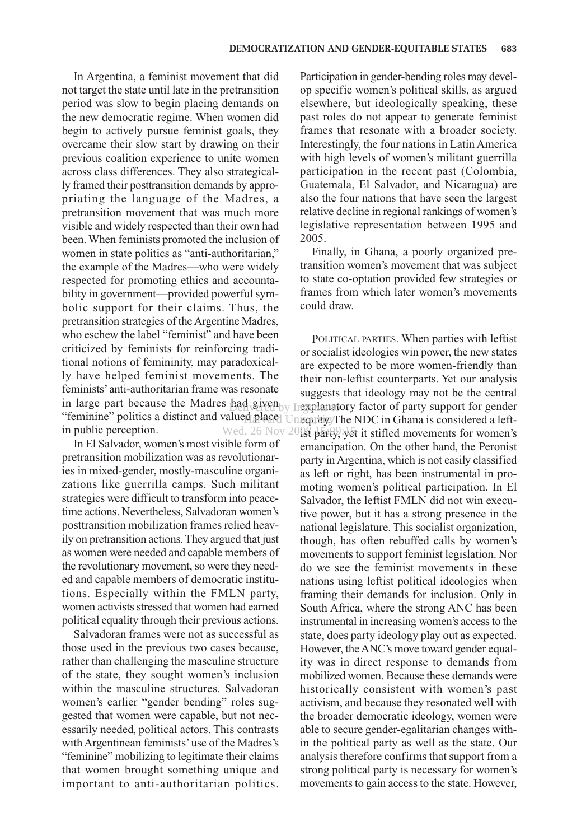In Argentina, a feminist movement that did not target the state until late in the pretransition period was slow to begin placing demands on the new democratic regime. When women did begin to actively pursue feminist goals, they overcame their slow start by drawing on their previous coalition experience to unite women across class differences. They also strategically framed their posttransition demands by appropriating the language of the Madres, a pretransition movement that was much more visible and widely respected than their own had been. When feminists promoted the inclusion of women in state politics as "anti-authoritarian," the example of the Madres—who were widely respected for promoting ethics and accountability in government—provided powerful symbolic support for their claims. Thus, the pretransition strategies of the Argentine Madres, who eschew the label "feminist" and have been criticized by feminists for reinforcing traditional notions of femininity, may paradoxically have helped feminist movements. The feminists' anti-authoritarian frame was resonate in large part because the Madres had given by Ingentatory factor of party support for gender "feminine" politics a distinct and valued placed University. The NDC in Ghana is considered a leftin public perception.

In El Salvador, women's most visible form of pretransition mobilization was as revolutionaries in mixed-gender, mostly-masculine organizations like guerrilla camps. Such militant strategies were difficult to transform into peacetime actions. Nevertheless, Salvadoran women's posttransition mobilization frames relied heavily on pretransition actions. They argued that just as women were needed and capable members of the revolutionary movement, so were they needed and capable members of democratic institutions. Especially within the FMLN party, women activists stressed that women had earned political equality through their previous actions.

Salvadoran frames were not as successful as those used in the previous two cases because, rather than challenging the masculine structure of the state, they sought women's inclusion within the masculine structures. Salvadoran women's earlier "gender bending" roles suggested that women were capable, but not necessarily needed, political actors. This contrasts with Argentinean feminists'use of the Madres's "feminine" mobilizing to legitimate their claims that women brought something unique and important to anti-authoritarian politics.

Participation in gender-bending roles may develop specific women's political skills, as argued elsewhere, but ideologically speaking, these past roles do not appear to generate feminist frames that resonate with a broader society. Interestingly, the four nations in Latin America with high levels of women's militant guerrilla participation in the recent past (Colombia, Guatemala, El Salvador, and Nicaragua) are also the four nations that have seen the largest relative decline in regional rankings of women's legislative representation between 1995 and 2005.

Finally, in Ghana, a poorly organized pretransition women's movement that was subject to state co-optation provided few strategies or frames from which later women's movements could draw.

POLITICAL PARTIES. When parties with leftist or socialist ideologies win power, the new states are expected to be more women-friendly than their non-leftist counterparts. Yet our analysis suggests that ideology may not be the central Wed, 26 Nov 20 $\hat{\mathbb{S}}$  party, yet it stifled movements for women's emancipation. On the other hand, the Peronist party in Argentina, which is not easily classified as left or right, has been instrumental in promoting women's political participation. In El Salvador, the leftist FMLN did not win executive power, but it has a strong presence in the national legislature. This socialist organization, though, has often rebuffed calls by women's movements to support feminist legislation. Nor do we see the feminist movements in these nations using leftist political ideologies when framing their demands for inclusion. Only in South Africa, where the strong ANC has been instrumental in increasing women's access to the state, does party ideology play out as expected. However, the ANC's move toward gender equality was in direct response to demands from mobilized women. Because these demands were historically consistent with women's past activism, and because they resonated well with the broader democratic ideology, women were able to secure gender-egalitarian changes within the political party as well as the state. Our analysis therefore confirms that support from a strong political party is necessary for women's movements to gain access to the state. However,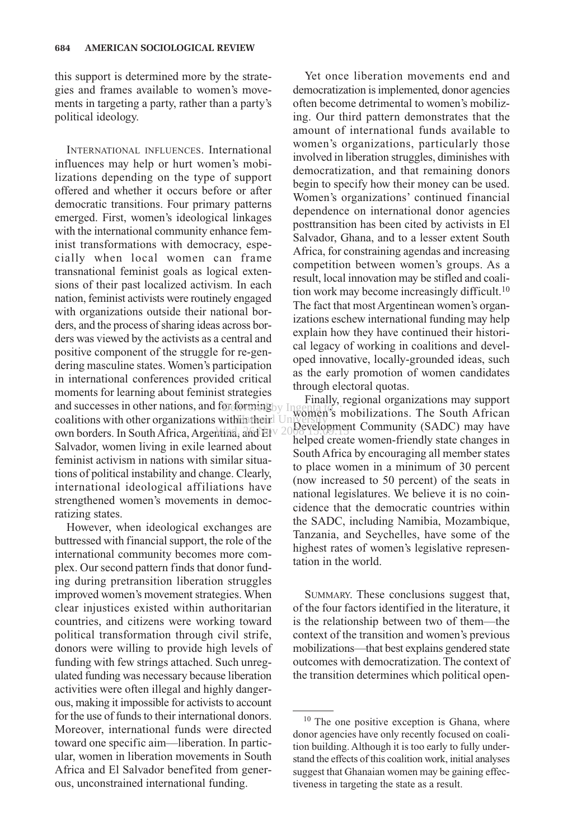this support is determined more by the strategies and frames available to women's movements in targeting a party, rather than a party's political ideology.

INTERNATIONAL INFLUENCES. International influences may help or hurt women's mobilizations depending on the type of support offered and whether it occurs before or after democratic transitions. Four primary patterns emerged. First, women's ideological linkages with the international community enhance feminist transformations with democracy, especially when local women can frame transnational feminist goals as logical extensions of their past localized activism. In each nation, feminist activists were routinely engaged with organizations outside their national borders, and the process of sharing ideas across borders was viewed by the activists as a central and positive component of the struggle for re-gendering masculine states. Women's participation in international conferences provided critical moments for learning about feminist strategies and successes in other nations, and for forming by Ingentation  $\alpha$  coalitions with other organizations with the independent University own borders. In South Africa, Argentina, and Ely 2008 velopment Salvador, women living in exile learned about feminist activism in nations with similar situations of political instability and change. Clearly, international ideological affiliations have strengthened women's movements in democratizing states.

However, when ideological exchanges are buttressed with financial support, the role of the international community becomes more complex. Our second pattern finds that donor funding during pretransition liberation struggles improved women's movement strategies. When clear injustices existed within authoritarian countries, and citizens were working toward political transformation through civil strife, donors were willing to provide high levels of funding with few strings attached. Such unregulated funding was necessary because liberation activities were often illegal and highly dangerous, making it impossible for activists to account for the use of funds to their international donors. Moreover, international funds were directed toward one specific aim—liberation. In particular, women in liberation movements in South Africa and El Salvador benefited from generous, unconstrained international funding.

Yet once liberation movements end and democratization is implemented, donor agencies often become detrimental to women's mobilizing. Our third pattern demonstrates that the amount of international funds available to women's organizations, particularly those involved in liberation struggles, diminishes with democratization, and that remaining donors begin to specify how their money can be used. Women's organizations' continued financial dependence on international donor agencies posttransition has been cited by activists in El Salvador, Ghana, and to a lesser extent South Africa, for constraining agendas and increasing competition between women's groups. As a result, local innovation may be stifled and coalition work may become increasingly difficult.10 The fact that most Argentinean women's organizations eschew international funding may help explain how they have continued their historical legacy of working in coalitions and developed innovative, locally-grounded ideas, such as the early promotion of women candidates through electoral quotas.

Finally, regional organizations may support ngenta to: mobilizations. The South African Development Community (SADC) may have helped create women-friendly state changes in South Africa by encouraging all member states to place women in a minimum of 30 percent (now increased to 50 percent) of the seats in national legislatures. We believe it is no coincidence that the democratic countries within the SADC, including Namibia, Mozambique, Tanzania, and Seychelles, have some of the highest rates of women's legislative representation in the world.

SUMMARY. These conclusions suggest that, of the four factors identified in the literature, it is the relationship between two of them—the context of the transition and women's previous mobilizations—that best explains gendered state outcomes with democratization. The context of the transition determines which political open-

 $10$  The one positive exception is Ghana, where donor agencies have only recently focused on coalition building. Although it is too early to fully understand the effects of this coalition work, initial analyses suggest that Ghanaian women may be gaining effectiveness in targeting the state as a result.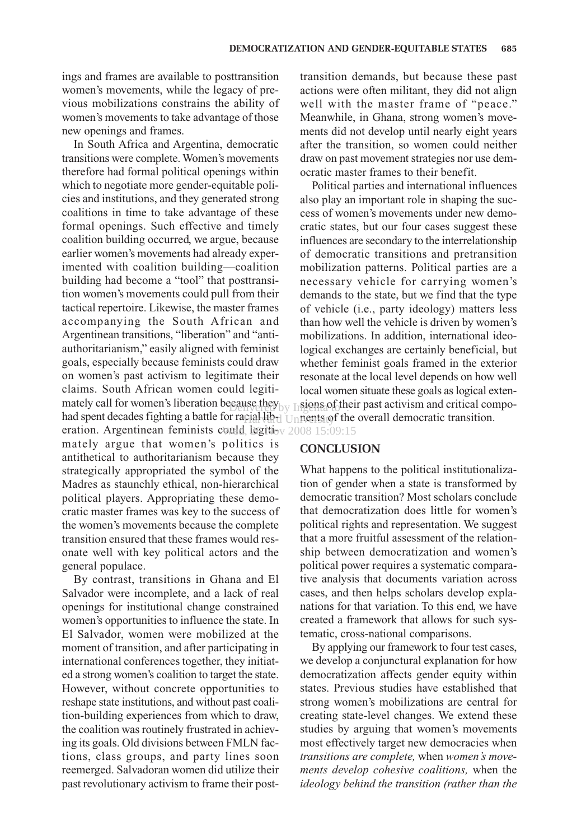ings and frames are available to posttransition women's movements, while the legacy of previous mobilizations constrains the ability of women's movements to take advantage of those new openings and frames.

In South Africa and Argentina, democratic transitions were complete. Women's movements therefore had formal political openings within which to negotiate more gender-equitable policies and institutions, and they generated strong coalitions in time to take advantage of these formal openings. Such effective and timely coalition building occurred, we argue, because earlier women's movements had already experimented with coalition building—coalition building had become a "tool" that posttransition women's movements could pull from their tactical repertoire. Likewise, the master frames accompanying the South African and Argentinean transitions, "liberation" and "antiauthoritarianism," easily aligned with feminist goals, especially because feminists could draw on women's past activism to legitimate their claims. South African women could legitimately call for women's liberation because they  $\frac{1}{10}$  Insens of their past activism and critical compohad spent decades fighting a battle for racial lib<sub>rd</sub> University of the overall democratic transition. eration. Argentinean feminists could, legiti<sub>ov 2008</sub> 15:09:15 mately argue that women's politics is antithetical to authoritarianism because they strategically appropriated the symbol of the Madres as staunchly ethical, non-hierarchical political players. Appropriating these democratic master frames was key to the success of the women's movements because the complete transition ensured that these frames would resonate well with key political actors and the general populace.

By contrast, transitions in Ghana and El Salvador were incomplete, and a lack of real openings for institutional change constrained women's opportunities to influence the state. In El Salvador, women were mobilized at the moment of transition, and after participating in international conferences together, they initiated a strong women's coalition to target the state. However, without concrete opportunities to reshape state institutions, and without past coalition-building experiences from which to draw, the coalition was routinely frustrated in achieving its goals. Old divisions between FMLN factions, class groups, and party lines soon reemerged. Salvadoran women did utilize their past revolutionary activism to frame their posttransition demands, but because these past actions were often militant, they did not align well with the master frame of "peace." Meanwhile, in Ghana, strong women's movements did not develop until nearly eight years after the transition, so women could neither draw on past movement strategies nor use democratic master frames to their benefit.

Political parties and international influences also play an important role in shaping the success of women's movements under new democratic states, but our four cases suggest these influences are secondary to the interrelationship of democratic transitions and pretransition mobilization patterns. Political parties are a necessary vehicle for carrying women's demands to the state, but we find that the type of vehicle (i.e., party ideology) matters less than how well the vehicle is driven by women's mobilizations. In addition, international ideological exchanges are certainly beneficial, but whether feminist goals framed in the exterior resonate at the local level depends on how well local women situate these goals as logical exten-

# **CONCLUSION**

What happens to the political institutionalization of gender when a state is transformed by democratic transition? Most scholars conclude that democratization does little for women's political rights and representation. We suggest that a more fruitful assessment of the relationship between democratization and women's political power requires a systematic comparative analysis that documents variation across cases, and then helps scholars develop explanations for that variation. To this end, we have created a framework that allows for such systematic, cross-national comparisons.

By applying our framework to four test cases, we develop a conjunctural explanation for how democratization affects gender equity within states. Previous studies have established that strong women's mobilizations are central for creating state-level changes. We extend these studies by arguing that women's movements most effectively target new democracies when *transitions are complete,* when *women's movements develop cohesive coalitions,* when the *ideology behind the transition (rather than the*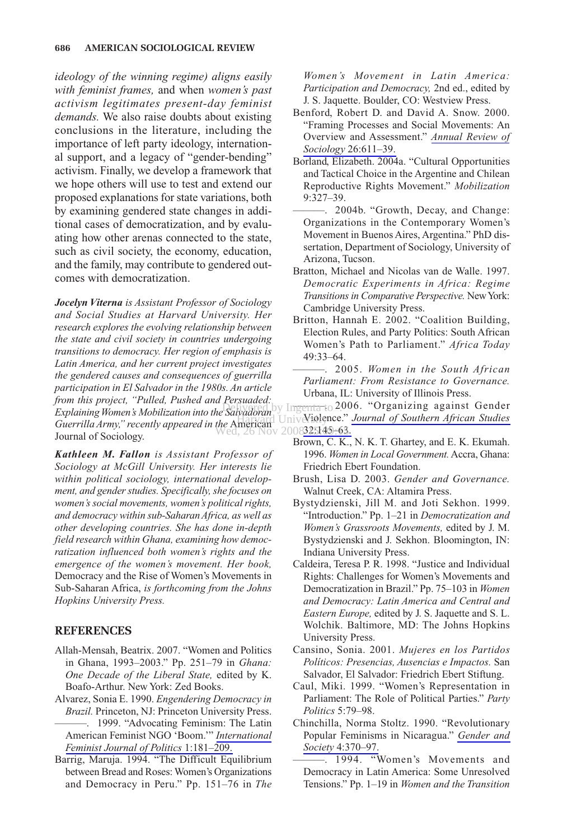*ideology of the winning regime) aligns easily with feminist frames,* and when *women's past activism legitimates present-day feminist demands.* We also raise doubts about existing conclusions in the literature, including the importance of left party ideology, international support, and a legacy of "gender-bending" activism. Finally, we develop a framework that we hope others will use to test and extend our proposed explanations for state variations, both by examining gendered state changes in additional cases of democratization, and by evaluating how other arenas connected to the state, such as civil society, the economy, education, and the family, may contribute to gendered outcomes with democratization.

*Jocelyn Viterna is Assistant Professor of Sociology and Social Studies at Harvard University. Her research explores the evolving relationship between the state and civil society in countries undergoing transitions to democracy. Her region of emphasis is Latin America, and her current project investigates the gendered causes and consequences of guerrilla participation in El Salvador in the 1980s. An article from this project, "Pulled, Pushed and Persuaded: Explaining Women's Mobilization into the Salvadoran Guerrilla Army," recently appeared in the* American Journal of Sociology. Wed, 26 Nov 2008325149-63.

*Kathleen M. Fallon is Assistant Professor of Sociology at McGill University. Her interests lie within political sociology, international development, and gender studies. Specifically, she focuses on women's social movements, women's political rights, and democracy within sub-Saharan Africa, as well as other developing countries. She has done in-depth field research within Ghana, examining how democratization influenced both women's rights and the emergence of the women's movement. Her book,* Democracy and the Rise of Women's Movements in Sub-Saharan Africa, *is forthcoming from the Johns Hopkins University Press.*

## **REFERENCES**

- Allah-Mensah, Beatrix. 2007. "Women and Politics in Ghana, 1993–2003." Pp. 251–79 in *Ghana: One Decade of the Liberal State,* edited by K. Boafo-Arthur. New York: Zed Books.
- Alvarez, Sonia E. 1990. *Engendering Democracy in Brazil.* Princeton, NJ: Princeton University Press. ———. 1999. "Advocating Feminism: The Latin American Feminist NGO 'Boom.'" *[International](http://www.ingentaconnect.com/content/external-references?article=1461-6742()1L.181[aid=8369896]) [Feminist Journal of Politics](http://www.ingentaconnect.com/content/external-references?article=1461-6742()1L.181[aid=8369896])* 1:181–209.
- Barrig, Maruja. 1994. "The Difficult Equilibrium between Bread and Roses: Women's Organizations and Democracy in Peru." Pp. 151–76 in *The*

*Women's Movement in Latin America: Participation and Democracy,* 2nd ed., edited by J. S. Jaquette. Boulder, CO: Westview Press.

- Benford, Robert D. and David A. Snow. 2000. "Framing Processes and Social Movements: An Overview and Assessment." *[Annual Review of](http://www.ingentaconnect.com/content/external-references?article=0360-0572()26L.611[aid=1415842]) Sociology* [26:611–39.](http://www.ingentaconnect.com/content/external-references?article=0360-0572()26L.611[aid=1415842])
- Borland, Elizabeth. 2004a. "Cultural Opportunities and Tactical Choice in the Argentine and Chilean Reproductive Rights Movement." *Mobilization* 9:327–39.
- -. 2004b. "Growth, Decay, and Change: Organizations in the Contemporary Women's Movement in Buenos Aires, Argentina." PhD dissertation, Department of Sociology, University of Arizona, Tucson.
- Bratton, Michael and Nicolas van de Walle. 1997. *Democratic Experiments in Africa: Regime Transitions in Comparative Perspective.* New York: Cambridge University Press.
- Britton, Hannah E. 2002. "Coalition Building, Election Rules, and Party Politics: South African Women's Path to Parliament." *Africa Today* 49:33–64.
- ———. 2005. *Women in the South African Parliament: From Resistance to Governance.* Urbana, IL: University of Illinois Press.
- Lersuaged.<br>Delivered by Ingenta to 2006. "Organizing against Gender **Harvard University** *[Journal of Southern African Studies](http://www.ingentaconnect.com/content/external-references?article=0305-7070()32L.145[aid=8369893])* 
	- Brown, C. K., N. K. T. Ghartey, and E. K. Ekumah. 1996. *Women in Local Government.*Accra, Ghana: Friedrich Ebert Foundation.
	- Brush, Lisa D. 2003. *Gender and Governance.* Walnut Creek, CA: Altamira Press.
	- Bystydzienski, Jill M. and Joti Sekhon. 1999. "Introduction." Pp. 1–21 in *Democratization and Women's Grassroots Movements,* edited by J. M. Bystydzienski and J. Sekhon. Bloomington, IN: Indiana University Press.
	- Caldeira, Teresa P. R. 1998. "Justice and Individual Rights: Challenges for Women's Movements and Democratization in Brazil." Pp. 75–103 in *Women and Democracy: Latin America and Central and Eastern Europe,* edited by J. S. Jaquette and S. L. Wolchik. Baltimore, MD: The Johns Hopkins University Press.
	- Cansino, Sonia. 2001. *Mujeres en los Partidos Políticos: Presencias, Ausencias e Impactos.* San Salvador, El Salvador: Friedrich Ebert Stiftung.
	- Caul, Miki. 1999. "Women's Representation in Parliament: The Role of Political Parties." *Party Politics* 5:79–98.
	- Chinchilla, Norma Stoltz. 1990. "Revolutionary Popular Feminisms in Nicaragua." *[Gender and](http://www.ingentaconnect.com/content/external-references?article=0891-2432()4L.370[aid=282171]) Society* [4:370–97.](http://www.ingentaconnect.com/content/external-references?article=0891-2432()4L.370[aid=282171])
		- -. 1994. "Women's Movements and Democracy in Latin America: Some Unresolved Tensions." Pp. 1–19 in *Women and the Transition*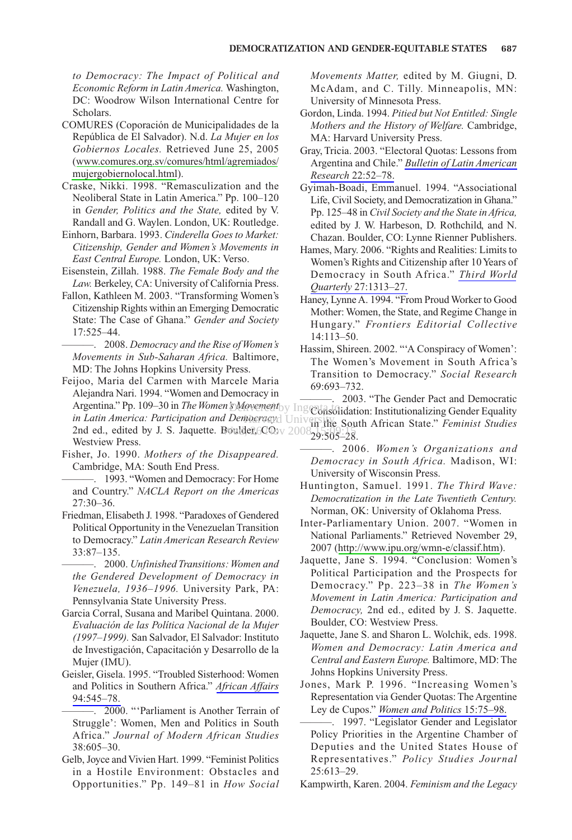*to Democracy: The Impact of Political and Economic Reform in Latin America.* Washington, DC: Woodrow Wilson International Centre for Scholars.

- COMURES (Coporación de Municipalidades de la República de El Salvador). N.d. *La Mujer en los Gobiernos Locales.* Retrieved June 25, 2005 ([www.comures.org.sv/comures/html/agremiados/](http://www.comures.org.sv/comures/html/agremiados/mujergobiernolocal.html) [mujergobiernolocal.html](http://www.comures.org.sv/comures/html/agremiados/mujergobiernolocal.html)).
- Craske, Nikki. 1998. "Remasculization and the Neoliberal State in Latin America." Pp. 100–120 in *Gender, Politics and the State,* edited by V. Randall and G. Waylen. London, UK: Routledge.
- Einhorn, Barbara. 1993. *Cinderella Goes to Market: Citizenship, Gender and Women's Movements in East Central Europe.* London, UK: Verso.
- Eisenstein, Zillah. 1988. *The Female Body and the Law.* Berkeley, CA: University of California Press.
- Fallon, Kathleen M. 2003. "Transforming Women's Citizenship Rights within an Emerging Democratic State: The Case of Ghana." *Gender and Society* 17:525–44.

———. 2008. *Democracy and the Rise of Women's Movements in Sub-Saharan Africa.* Baltimore, MD: The Johns Hopkins University Press.

Feijoo, Maria del Carmen with Marcele Maria Alejandra Nari. 1994. "Women and Democracy in 2nd ed., edited by J. S. Jaquette. Boulder,  $O_0$ ;  $O_1$ Westview Press.  $\frac{1}{26}$  Noulder,  $\frac{1}{200}$  v 2008,  $\frac{1}{20}$ ,  $\frac{1}{20}$ 

Fisher, Jo. 1990. *Mothers of the Disappeared.* Cambridge, MA: South End Press.

———. 1993. "Women and Democracy: For Home and Country." *NACLA Report on the Americas* 27:30–36.

Friedman, Elisabeth J. 1998. "Paradoxes of Gendered Political Opportunity in the Venezuelan Transition to Democracy." *Latin American Research Review* 33:87–135.

———. 2000. *Unfinished Transitions: Women and the Gendered Development of Democracy in Venezuela, 1936*–*1996.* University Park, PA: Pennsylvania State University Press.

- Garcia Corral, Susana and Maribel Quintana. 2000. *Evaluación de las Política Nacional de la Mujer (1997–1999).* San Salvador, El Salvador: Instituto de Investigación, Capacitación y Desarrollo de la Mujer (IMU).
- Geisler, Gisela. 1995. "Troubled Sisterhood: Women and Politics in Southern Africa." *[African Affairs](http://www.ingentaconnect.com/content/external-references?article=0001-9909()94L.545[aid=1196800])* [94:545–78.](http://www.ingentaconnect.com/content/external-references?article=0001-9909()94L.545[aid=1196800])

———. 2000. "'Parliament is Another Terrain of Struggle': Women, Men and Politics in South Africa." *Journal of Modern African Studies* 38:605–30.

Gelb, Joyce and Vivien Hart. 1999. "Feminist Politics in a Hostile Environment: Obstacles and Opportunities." Pp. 149–81 in *How Social* *Movements Matter,* edited by M. Giugni, D. McAdam, and C. Tilly. Minneapolis, MN: University of Minnesota Press.

- Gordon, Linda. 1994. *Pitied but Not Entitled: Single Mothers and the History of Welfare.* Cambridge, MA: Harvard University Press.
- Gray, Tricia. 2003. "Electoral Quotas: Lessons from Argentina and Chile." *[Bulletin of Latin American](http://www.ingentaconnect.com/content/external-references?article=0261-3050()22L.52[aid=7693595]) Research* [22:52–78.](http://www.ingentaconnect.com/content/external-references?article=0261-3050()22L.52[aid=7693595])
- Gyimah-Boadi, Emmanuel. 1994. "Associational Life, Civil Society, and Democratization in Ghana." Pp. 125–48 in *Civil Society and the State in Africa,* edited by J. W. Harbeson, D. Rothchild, and N. Chazan. Boulder, CO: Lynne Rienner Publishers.
- Hames, Mary. 2006. "Rights and Realities: Limits to Women's Rights and Citizenship after 10 Years of Democracy in South Africa." *[Third World](http://www.ingentaconnect.com/content/external-references?article=0143-6597()27L.1313[aid=8369901]) Quarterly* [27:1313–27.](http://www.ingentaconnect.com/content/external-references?article=0143-6597()27L.1313[aid=8369901])
- Haney, Lynne A. 1994. "From Proud Worker to Good Mother: Women, the State, and Regime Change in Hungary." *Frontiers Editorial Collective* 14:113–50.
- Hassim, Shireen. 2002. "'A Conspiracy of Women': The Women's Movement in South Africa's Transition to Democracy." *Social Research* 69:693–732.

Argentina." Pp. 109–30 in *The Women's Movement*<sub>Dy</sub> Ingential Argentina." Pp. 109–30 in *The Women's Movement*<sub>Dy</sub> Ingential Argentina." Pp. 109–30 in *The Women's Movement* in Latin America: Participation and Democracy, University South African State." *Feminist Studies* DMovement<sub>by</sub> Ingenta to income contact the construction of the construction of the construction of the construction of the construction of the construction of the construction of the construction of the construction of th 29:505–28.

> ———. 2006. *Women's Organizations and Democracy in South Africa.* Madison, WI: University of Wisconsin Press.

- Huntington, Samuel. 1991. *The Third Wave: Democratization in the Late Twentieth Century.* Norman, OK: University of Oklahoma Press.
- Inter-Parliamentary Union. 2007. "Women in National Parliaments." Retrieved November 29, 2007 ([http://www.ipu.org/wmn-e/classif.htm\)](http://www.ipu.org/wmn-e/classif.htm).
- Jaquette, Jane S. 1994. "Conclusion: Women's Political Participation and the Prospects for Democracy." Pp. 223–38 in *The Women's Movement in Latin America: Participation and Democracy,* 2nd ed., edited by J. S. Jaquette. Boulder, CO: Westview Press.
- Jaquette, Jane S. and Sharon L. Wolchik, eds. 1998. *Women and Democracy: Latin America and Central and Eastern Europe.* Baltimore, MD: The Johns Hopkins University Press.
- Jones, Mark P. 1996. "Increasing Women's Representation via Gender Quotas: The Argentine Ley de Cupos." *[Women and Politics](http://www.ingentaconnect.com/content/external-references?article=0195-7732()15L.75[aid=8369898])* 15:75–98.
- ———. 1997. "Legislator Gender and Legislator Policy Priorities in the Argentine Chamber of Deputies and the United States House of Representatives." *Policy Studies Journal* 25:613–29.

Kampwirth, Karen. 2004. *Feminism and the Legacy*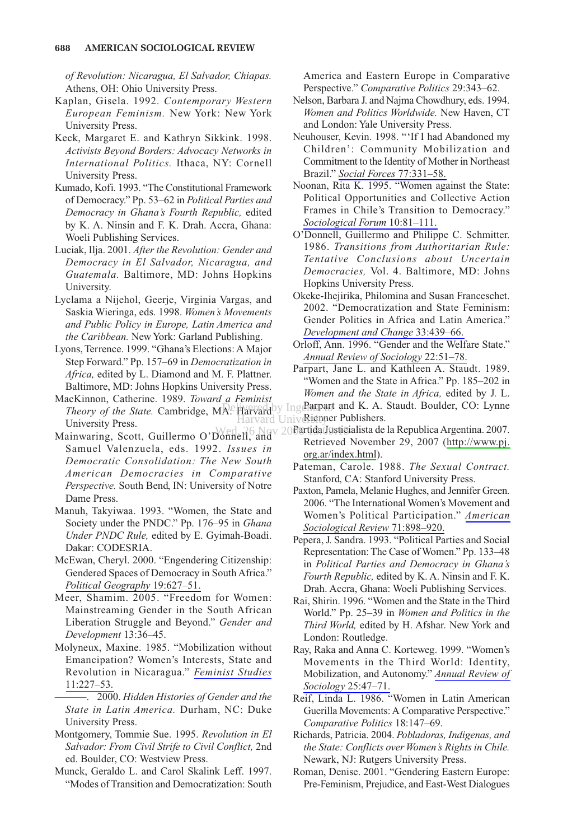*of Revolution: Nicaragua, El Salvador, Chiapas.* Athens, OH: Ohio University Press.

- Kaplan, Gisela. 1992. *Contemporary Western European Feminism.* New York: New York University Press.
- Keck, Margaret E. and Kathryn Sikkink. 1998. *Activists Beyond Borders: Advocacy Networks in International Politics.* Ithaca, NY: Cornell University Press.
- Kumado, Kofi. 1993. "The Constitutional Framework of Democracy." Pp. 53–62 in *Political Parties and Democracy in Ghana's Fourth Republic,* edited by K. A. Ninsin and F. K. Drah. Accra, Ghana: Woeli Publishing Services.
- Luciak, Ilja. 2001. *After the Revolution: Gender and Democracy in El Salvador, Nicaragua, and Guatemala.* Baltimore, MD: Johns Hopkins University.
- Lyclama a Nijehol, Geerje, Virginia Vargas, and Saskia Wieringa, eds. 1998. *Women's Movements and Public Policy in Europe, Latin America and the Caribbean.* New York: Garland Publishing.
- Lyons, Terrence. 1999. "Ghana's Elections: A Major Step Forward." Pp. 157–69 in *Democratization in Africa,* edited by L. Diamond and M. F. Plattner. Baltimore, MD: Johns Hopkins University Press.
- MacKinnon, Catherine. 1989. *Toward a Feminist Theory of the State.* Cambridge, MA: Harvard University Press.
- Mainwaring, Scott, Guillermo O'Donnell, and Samuel Valenzuela, eds. 1992. *Issues in Democratic Consolidation: The New South American Democracies in Comparative Perspective.* South Bend, IN: University of Notre Dame Press.
- Manuh, Takyiwaa. 1993. "Women, the State and Society under the PNDC." Pp. 176–95 in *Ghana Under PNDC Rule,* edited by E. Gyimah-Boadi. Dakar: CODESRIA.
- McEwan, Cheryl. 2000. "Engendering Citizenship: Gendered Spaces of Democracy in South Africa." *[Political Geography](http://www.ingentaconnect.com/content/external-references?article=0962-6298()19L.627[aid=2333832])* 19:627–51.
- Meer, Shamim. 2005. "Freedom for Women: Mainstreaming Gender in the South African Liberation Struggle and Beyond." *Gender and Development* 13:36–45.
- Molyneux, Maxine. 1985. "Mobilization without Emancipation? Women's Interests, State and Revolution in Nicaragua." *[Feminist Studies](http://www.ingentaconnect.com/content/external-references?article=0046-3663()11L.227[aid=84203])* [11:227–53.](http://www.ingentaconnect.com/content/external-references?article=0046-3663()11L.227[aid=84203])
	- ———. 2000. *Hidden Histories of Gender and the State in Latin America.* Durham, NC: Duke University Press.
- Montgomery, Tommie Sue. 1995. *Revolution in El Salvador: From Civil Strife to Civil Conflict,* 2nd ed. Boulder, CO: Westview Press.
- Munck, Geraldo L. and Carol Skalink Leff. 1997. "Modes of Transition and Democratization: South

America and Eastern Europe in Comparative Perspective." *Comparative Politics* 29:343–62.

- Nelson, Barbara J. and Najma Chowdhury, eds. 1994. *Women and Politics Worldwide.* New Haven, CT and London: Yale University Press.
- Neuhouser, Kevin. 1998. "'If I had Abandoned my Children': Community Mobilization and Commitment to the Identity of Mother in Northeast Brazil." *[Social Forces](http://www.ingentaconnect.com/content/external-references?article=0037-7732()77L.331[aid=8369909])* 77:331–58.
- Noonan, Rita K. 1995. "Women against the State: Political Opportunities and Collective Action Frames in Chile's Transition to Democracy." *[Sociological Forum](http://www.ingentaconnect.com/content/external-references?article=0884-8971()10L.81[aid=971855])* 10:81–111.
- O'Donnell, Guillermo and Philippe C. Schmitter. 1986. *Transitions from Authoritarian Rule: Tentative Conclusions about Uncertain Democracies,* Vol. 4. Baltimore, MD: Johns Hopkins University Press.
- Okeke-Ihejirika, Philomina and Susan Franceschet. 2002. "Democratization and State Feminism: Gender Politics in Africa and Latin America." *[Development and Change](http://www.ingentaconnect.com/content/external-references?article=0012-155x()33L.439[aid=8369908])* 33:439–66.
- Orloff, Ann. 1996. "Gender and the Welfare State." *[Annual Review of Sociology](http://www.ingentaconnect.com/content/external-references?article=0360-0572()22L.51[aid=5390560])* 22:51–78.
- Parpart, Jane L. and Kathleen A. Staudt. 1989. "Women and the State in Africa." Pp. 185–202 in *Women and the State in Africa,* edited by J. L. **Delivered** by Ingene and K. A. Staudt. Boulder, CO: Lynne Harvard Universigner Publishers.
- Wed, 26 Nov 20 Partida Justicialista de la Republica Argentina. 2007. Retrieved November 29, 2007 ([http://www.pj.](http://www.pj.org.ar/index.html) [org.ar/index.html](http://www.pj.org.ar/index.html)).
	- Pateman, Carole. 1988. *The Sexual Contract.* Stanford, CA: Stanford University Press.
	- Paxton, Pamela, Melanie Hughes, and Jennifer Green. 2006. "The International Women's Movement and Women's Political Participation." *[American](http://www.ingentaconnect.com/content/external-references?article=0003-1224()71L.898[aid=8369907]) [Sociological Review](http://www.ingentaconnect.com/content/external-references?article=0003-1224()71L.898[aid=8369907])* 71:898–920.
	- Pepera, J. Sandra. 1993. "Political Parties and Social Representation: The Case of Women." Pp. 133–48 in *Political Parties and Democracy in Ghana's Fourth Republic,* edited by K. A. Ninsin and F. K. Drah. Accra, Ghana: Woeli Publishing Services.
	- Rai, Shirin. 1996. "Women and the State in the Third World." Pp. 25–39 in *Women and Politics in the Third World,* edited by H. Afshar. New York and London: Routledge.
	- Ray, Raka and Anna C. Korteweg. 1999. "Women's Movements in the Third World: Identity, Mobilization, and Autonomy." *[Annual Review of](http://www.ingentaconnect.com/content/external-references?article=0360-0572()25L.47[aid=2313196]) Sociology* [25:47–71.](http://www.ingentaconnect.com/content/external-references?article=0360-0572()25L.47[aid=2313196])
	- Reif, Linda L. 1986. "Women in Latin American Guerilla Movements: A Comparative Perspective." *Comparative Politics* 18:147–69.
	- Richards, Patricia. 2004. *Pobladoras, Indigenas, and the State: Conflicts over Women's Rights in Chile.* Newark, NJ: Rutgers University Press.
	- Roman, Denise. 2001. "Gendering Eastern Europe: Pre-Feminism, Prejudice, and East-West Dialogues